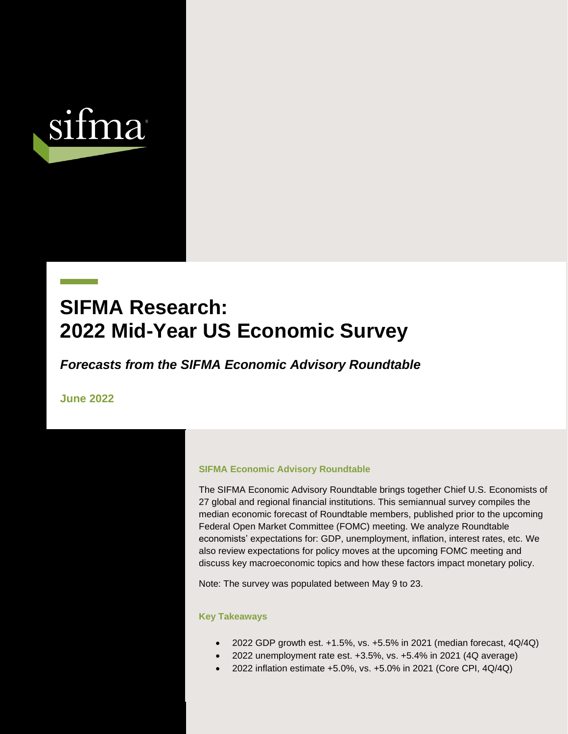

# **SIFMA Research: 2022 Mid-Year US Economic Survey**

*Forecasts from the SIFMA Economic Advisory Roundtable*

**June 2022**

#### **SIFMA Economic Advisory Roundtable**

SIFMA Economic Advisory Roundtable: US Economic Survey – 1H22 Page **1** of **63**

The SIFMA Economic Advisory Roundtable brings together Chief U.S. Economists of 27 global and regional financial institutions. This semiannual survey compiles the median economic forecast of Roundtable members, published prior to the upcoming Federal Open Market Committee (FOMC) meeting. We analyze Roundtable economists' expectations for: GDP, unemployment, inflation, interest rates, etc. We also review expectations for policy moves at the upcoming FOMC meeting and discuss key macroeconomic topics and how these factors impact monetary policy.

Note: The survey was populated between May 9 to 23.

#### **Key Takeaways**

- 2022 GDP growth est. +1.5%, vs. +5.5% in 2021 (median forecast, 4Q/4Q)
- 2022 unemployment rate est. +3.5%, vs. +5.4% in 2021 (4Q average)
- 2022 inflation estimate +5.0%, vs. +5.0% in 2021 (Core CPI, 4Q/4Q)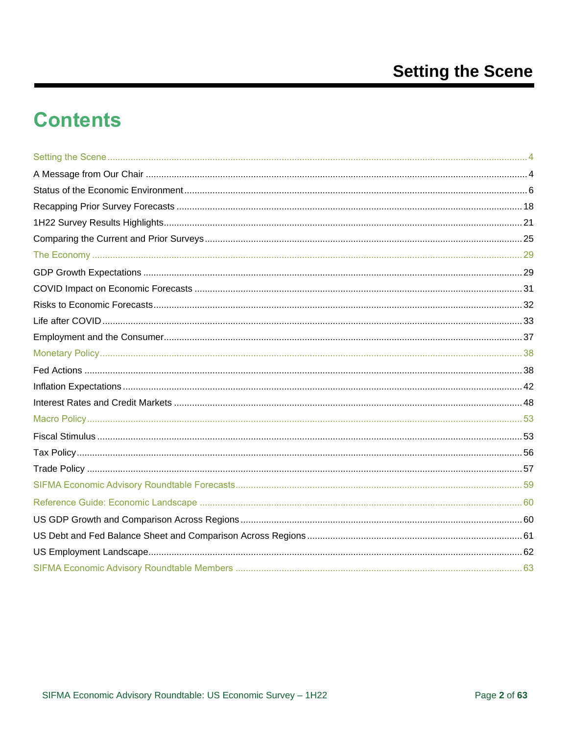# **Contents**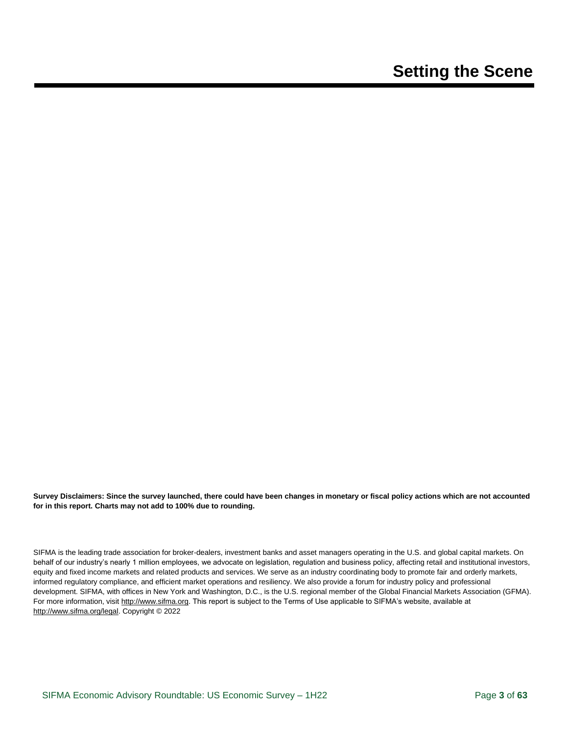**Survey Disclaimers: Since the survey launched, there could have been changes in monetary or fiscal policy actions which are not accounted for in this report. Charts may not add to 100% due to rounding.** 

SIFMA is the leading trade association for broker-dealers, investment banks and asset managers operating in the U.S. and global capital markets. On behalf of our industry's nearly 1 million employees, we advocate on legislation, regulation and business policy, affecting retail and institutional investors, equity and fixed income markets and related products and services. We serve as an industry coordinating body to promote fair and orderly markets, informed regulatory compliance, and efficient market operations and resiliency. We also provide a forum for industry policy and professional development. SIFMA, with offices in New York and Washington, D.C., is the U.S. regional member of the Global Financial Markets Association (GFMA). For more information, visit [http://www.sifma.org.](http://www.sifma.org/) This report is subject to the Terms of Use applicable to SIFMA's website, available at [http://www.sifma.org/legal.](http://www.sifma.org/legal) Copyright © 2022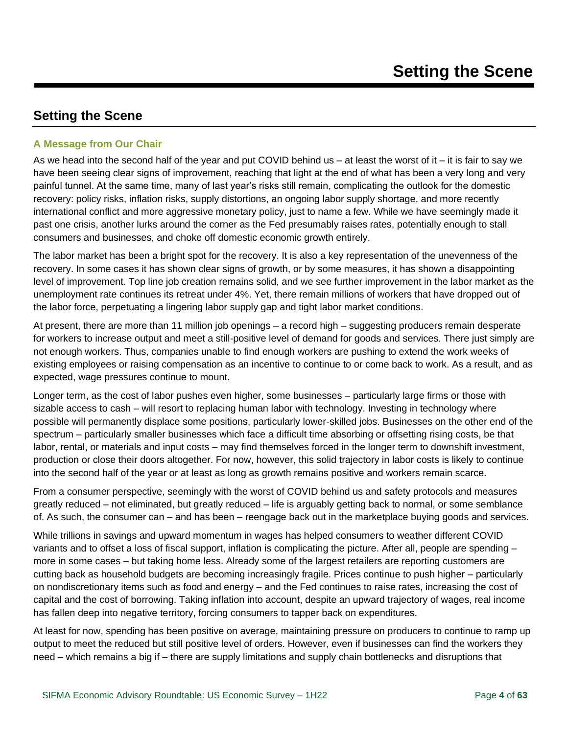### <span id="page-3-1"></span><span id="page-3-0"></span>**A Message from Our Chair**

As we head into the second half of the year and put COVID behind us – at least the worst of it – it is fair to say we have been seeing clear signs of improvement, reaching that light at the end of what has been a very long and very painful tunnel. At the same time, many of last year's risks still remain, complicating the outlook for the domestic recovery: policy risks, inflation risks, supply distortions, an ongoing labor supply shortage, and more recently international conflict and more aggressive monetary policy, just to name a few. While we have seemingly made it past one crisis, another lurks around the corner as the Fed presumably raises rates, potentially enough to stall consumers and businesses, and choke off domestic economic growth entirely.

The labor market has been a bright spot for the recovery. It is also a key representation of the unevenness of the recovery. In some cases it has shown clear signs of growth, or by some measures, it has shown a disappointing level of improvement. Top line job creation remains solid, and we see further improvement in the labor market as the unemployment rate continues its retreat under 4%. Yet, there remain millions of workers that have dropped out of the labor force, perpetuating a lingering labor supply gap and tight labor market conditions.

At present, there are more than 11 million job openings – a record high – suggesting producers remain desperate for workers to increase output and meet a still-positive level of demand for goods and services. There just simply are not enough workers. Thus, companies unable to find enough workers are pushing to extend the work weeks of existing employees or raising compensation as an incentive to continue to or come back to work. As a result, and as expected, wage pressures continue to mount.

Longer term, as the cost of labor pushes even higher, some businesses – particularly large firms or those with sizable access to cash – will resort to replacing human labor with technology. Investing in technology where possible will permanently displace some positions, particularly lower-skilled jobs. Businesses on the other end of the spectrum – particularly smaller businesses which face a difficult time absorbing or offsetting rising costs, be that labor, rental, or materials and input costs – may find themselves forced in the longer term to downshift investment, production or close their doors altogether. For now, however, this solid trajectory in labor costs is likely to continue into the second half of the year or at least as long as growth remains positive and workers remain scarce.

From a consumer perspective, seemingly with the worst of COVID behind us and safety protocols and measures greatly reduced – not eliminated, but greatly reduced – life is arguably getting back to normal, or some semblance of. As such, the consumer can – and has been – reengage back out in the marketplace buying goods and services.

While trillions in savings and upward momentum in wages has helped consumers to weather different COVID variants and to offset a loss of fiscal support, inflation is complicating the picture. After all, people are spending – more in some cases – but taking home less. Already some of the largest retailers are reporting customers are cutting back as household budgets are becoming increasingly fragile. Prices continue to push higher – particularly on nondiscretionary items such as food and energy – and the Fed continues to raise rates, increasing the cost of capital and the cost of borrowing. Taking inflation into account, despite an upward trajectory of wages, real income has fallen deep into negative territory, forcing consumers to tapper back on expenditures.

At least for now, spending has been positive on average, maintaining pressure on producers to continue to ramp up output to meet the reduced but still positive level of orders. However, even if businesses can find the workers they need – which remains a big if – there are supply limitations and supply chain bottlenecks and disruptions that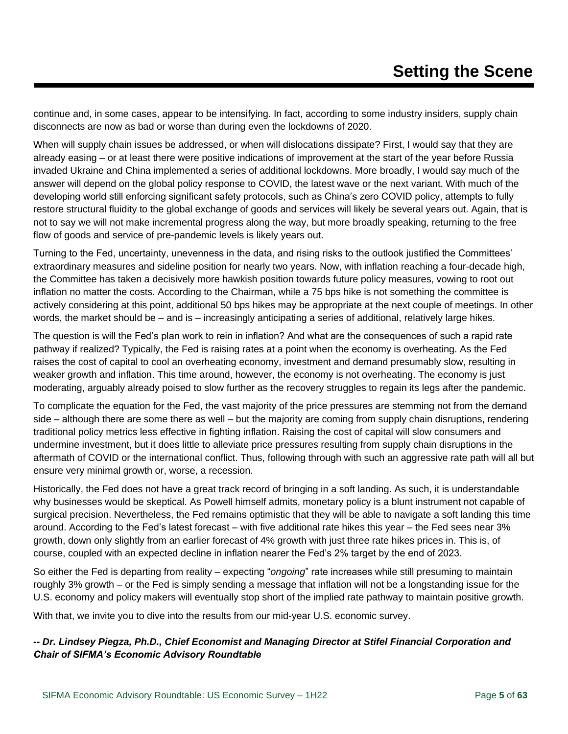continue and, in some cases, appear to be intensifying. In fact, according to some industry insiders, supply chain disconnects are now as bad or worse than during even the lockdowns of 2020.

When will supply chain issues be addressed, or when will dislocations dissipate? First, I would say that they are already easing – or at least there were positive indications of improvement at the start of the year before Russia invaded Ukraine and China implemented a series of additional lockdowns. More broadly, I would say much of the answer will depend on the global policy response to COVID, the latest wave or the next variant. With much of the developing world still enforcing significant safety protocols, such as China's zero COVID policy, attempts to fully restore structural fluidity to the global exchange of goods and services will likely be several years out. Again, that is not to say we will not make incremental progress along the way, but more broadly speaking, returning to the free flow of goods and service of pre-pandemic levels is likely years out.

Turning to the Fed, uncertainty, unevenness in the data, and rising risks to the outlook justified the Committees' extraordinary measures and sideline position for nearly two years. Now, with inflation reaching a four-decade high, the Committee has taken a decisively more hawkish position towards future policy measures, vowing to root out inflation no matter the costs. According to the Chairman, while a 75 bps hike is not something the committee is actively considering at this point, additional 50 bps hikes may be appropriate at the next couple of meetings. In other words, the market should be – and is – increasingly anticipating a series of additional, relatively large hikes.

The question is will the Fed's plan work to rein in inflation? And what are the consequences of such a rapid rate pathway if realized? Typically, the Fed is raising rates at a point when the economy is overheating. As the Fed raises the cost of capital to cool an overheating economy, investment and demand presumably slow, resulting in weaker growth and inflation. This time around, however, the economy is not overheating. The economy is just moderating, arguably already poised to slow further as the recovery struggles to regain its legs after the pandemic.

To complicate the equation for the Fed, the vast majority of the price pressures are stemming not from the demand side – although there are some there as well – but the majority are coming from supply chain disruptions, rendering traditional policy metrics less effective in fighting inflation. Raising the cost of capital will slow consumers and undermine investment, but it does little to alleviate price pressures resulting from supply chain disruptions in the aftermath of COVID or the international conflict. Thus, following through with such an aggressive rate path will all but ensure very minimal growth or, worse, a recession.

Historically, the Fed does not have a great track record of bringing in a soft landing. As such, it is understandable why businesses would be skeptical. As Powell himself admits, monetary policy is a blunt instrument not capable of surgical precision. Nevertheless, the Fed remains optimistic that they will be able to navigate a soft landing this time around. According to the Fed's latest forecast – with five additional rate hikes this year – the Fed sees near 3% growth, down only slightly from an earlier forecast of 4% growth with just three rate hikes prices in. This is, of course, coupled with an expected decline in inflation nearer the Fed's 2% target by the end of 2023.

So either the Fed is departing from reality – expecting "*ongoing*" rate increases while still presuming to maintain roughly 3% growth – or the Fed is simply sending a message that inflation will not be a longstanding issue for the U.S. economy and policy makers will eventually stop short of the implied rate pathway to maintain positive growth.

With that, we invite you to dive into the results from our mid-year U.S. economic survey.

### *-- Dr. Lindsey Piegza, Ph.D., Chief Economist and Managing Director at Stifel Financial Corporation and Chair of SIFMA's Economic Advisory Roundtable*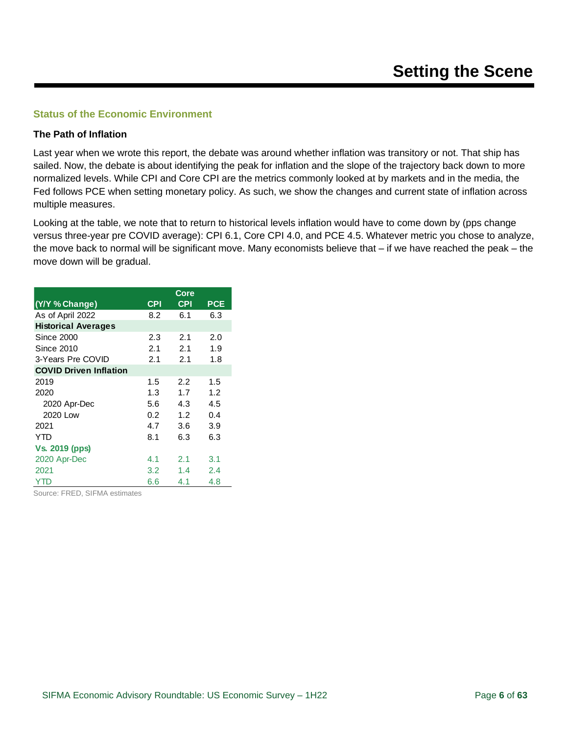#### <span id="page-5-0"></span>**Status of the Economic Environment**

#### **The Path of Inflation**

Last year when we wrote this report, the debate was around whether inflation was transitory or not. That ship has sailed. Now, the debate is about identifying the peak for inflation and the slope of the trajectory back down to more normalized levels. While CPI and Core CPI are the metrics commonly looked at by markets and in the media, the Fed follows PCE when setting monetary policy. As such, we show the changes and current state of inflation across multiple measures.

Looking at the table, we note that to return to historical levels inflation would have to come down by (pps change versus three-year pre COVID average): CPI 6.1, Core CPI 4.0, and PCE 4.5. Whatever metric you chose to analyze, the move back to normal will be significant move. Many economists believe that – if we have reached the peak – the move down will be gradual.

|                               |     | Core       |            |
|-------------------------------|-----|------------|------------|
| (Y/Y % Change)                | CPI | <b>CPI</b> | <b>PCE</b> |
| As of April 2022              | 8.2 | 6.1        | 6.3        |
| <b>Historical Averages</b>    |     |            |            |
| Since 2000                    | 2.3 | 2.1        | 2.0        |
| Since 2010                    | 2.1 | 2.1        | 1.9        |
| 3-Years Pre COVID             | 2.1 | 2.1        | 1.8        |
| <b>COVID Driven Inflation</b> |     |            |            |
| 2019                          | 1.5 | 2.2        | 1.5        |
| 2020                          | 1.3 | 1.7        | 1.2        |
| 2020 Apr-Dec                  | 5.6 | 4.3        | 4.5        |
| 2020 Low                      | 0.2 | 1.2        | 0.4        |
| 2021                          | 4.7 | 3.6        | 3.9        |
| YTD                           | 8.1 | 6.3        | 6.3        |
| <b>Vs. 2019 (pps)</b>         |     |            |            |
| 2020 Apr-Dec                  | 4.1 | 2.1        | 3.1        |
| 2021                          | 3.2 | 1.4        | 2.4        |
| YTD                           | 6.6 | 4.1        | 4.8        |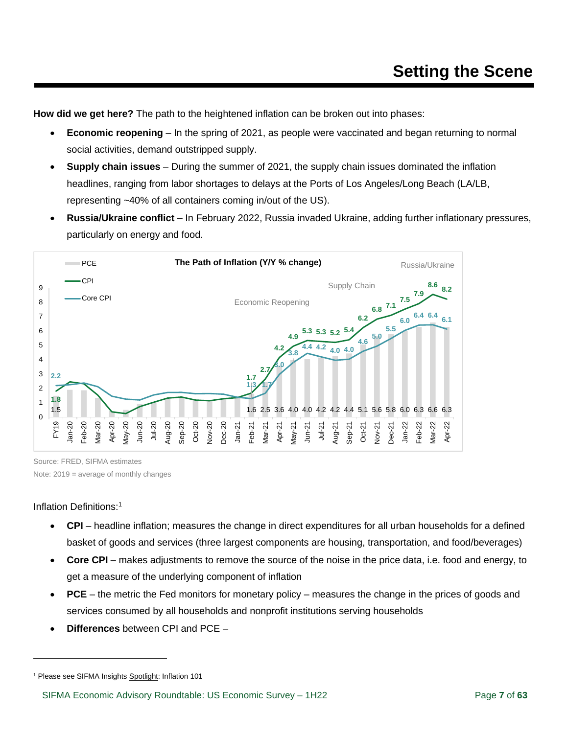**How did we get here?** The path to the heightened inflation can be broken out into phases:

- **Economic reopening** In the spring of 2021, as people were vaccinated and began returning to normal social activities, demand outstripped supply.
- **Supply chain issues** During the summer of 2021, the supply chain issues dominated the inflation headlines, ranging from labor shortages to delays at the Ports of Los Angeles/Long Beach (LA/LB, representing ~40% of all containers coming in/out of the US).
- **Russia/Ukraine conflict** In February 2022, Russia invaded Ukraine, adding further inflationary pressures, particularly on energy and food.



Source: FRED, SIFMA estimates

Note: 2019 = average of monthly changes

#### Inflation Definitions:<sup>1</sup>

- **CPI** headline inflation; measures the change in direct expenditures for all urban households for a defined basket of goods and services (three largest components are housing, transportation, and food/beverages)
- **Core CPI** makes adjustments to remove the source of the noise in the price data, i.e. food and energy, to get a measure of the underlying component of inflation
- **PCE** the metric the Fed monitors for monetary policy measures the change in the prices of goods and services consumed by all households and nonprofit institutions serving households
- **Differences** between CPI and PCE –

<sup>&</sup>lt;sup>1</sup> Please see SIFMA Insight[s Spotlight:](https://www.sifma.org/wp-content/uploads/2021/06/SIFMA-Insights-Spotlight-Inflation-101-FINAL-FOR-WEB.pdf) Inflation 101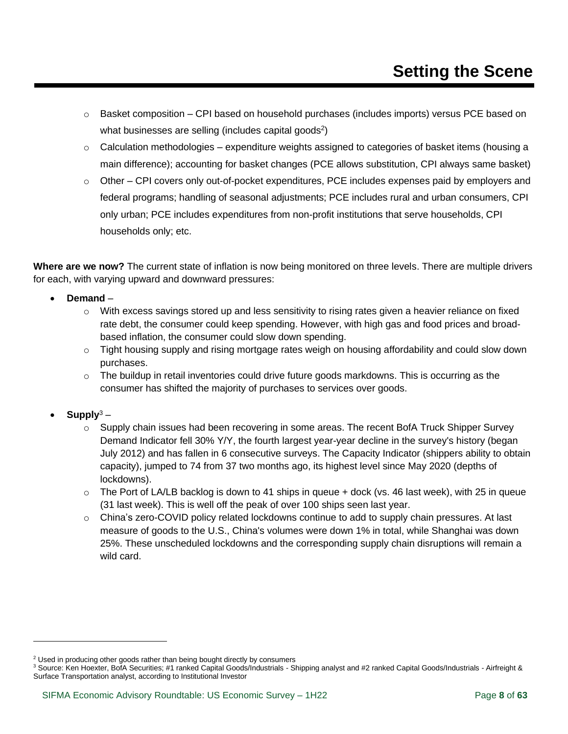- $\circ$  Basket composition CPI based on household purchases (includes imports) versus PCE based on what businesses are selling (includes capital goods<sup>2</sup>)
- $\circ$  Calculation methodologies expenditure weights assigned to categories of basket items (housing a main difference); accounting for basket changes (PCE allows substitution, CPI always same basket)
- $\circ$  Other CPI covers only out-of-pocket expenditures, PCE includes expenses paid by employers and federal programs; handling of seasonal adjustments; PCE includes rural and urban consumers, CPI only urban; PCE includes expenditures from non-profit institutions that serve households, CPI households only; etc.

**Where are we now?** The current state of inflation is now being monitored on three levels. There are multiple drivers for each, with varying upward and downward pressures:

- **Demand**
	- $\circ$  With excess savings stored up and less sensitivity to rising rates given a heavier reliance on fixed rate debt, the consumer could keep spending. However, with high gas and food prices and broadbased inflation, the consumer could slow down spending.
	- $\circ$  Tight housing supply and rising mortgage rates weigh on housing affordability and could slow down purchases.
	- $\circ$  The buildup in retail inventories could drive future goods markdowns. This is occurring as the consumer has shifted the majority of purchases to services over goods.
- **Supply**<sup>3</sup>
	- $\circ$  Supply chain issues had been recovering in some areas. The recent BofA Truck Shipper Survey Demand Indicator fell 30% Y/Y, the fourth largest year-year decline in the survey's history (began July 2012) and has fallen in 6 consecutive surveys. The Capacity Indicator (shippers ability to obtain capacity), jumped to 74 from 37 two months ago, its highest level since May 2020 (depths of lockdowns).
	- $\circ$  The Port of LA/LB backlog is down to 41 ships in queue + dock (vs. 46 last week), with 25 in queue (31 last week). This is well off the peak of over 100 ships seen last year.
	- $\circ$  China's zero-COVID policy related lockdowns continue to add to supply chain pressures. At last measure of goods to the U.S., China's volumes were down 1% in total, while Shanghai was down 25%. These unscheduled lockdowns and the corresponding supply chain disruptions will remain a wild card.

<sup>&</sup>lt;sup>2</sup> Used in producing other goods rather than being bought directly by consumers

<sup>&</sup>lt;sup>3</sup> Source: Ken Hoexter, BofA Securities; #1 ranked Capital Goods/Industrials - Shipping analyst and #2 ranked Capital Goods/Industrials - Airfreight & Surface Transportation analyst, according to Institutional Investor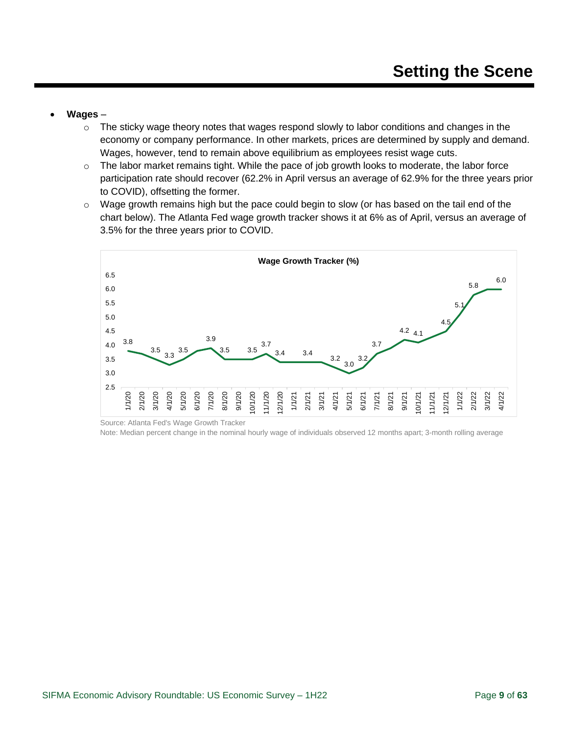- **Wages**
	- $\circ$  The sticky wage theory notes that wages respond slowly to labor conditions and changes in the economy or company performance. In other markets, prices are determined by supply and demand. Wages, however, tend to remain above equilibrium as employees resist wage cuts.
	- $\circ$  The labor market remains tight. While the pace of job growth looks to moderate, the labor force participation rate should recover (62.2% in April versus an average of 62.9% for the three years prior to COVID), offsetting the former.
	- $\circ$  Wage growth remains high but the pace could begin to slow (or has based on the tail end of the chart below). The Atlanta Fed wage growth tracker shows it at 6% as of April, versus an average of 3.5% for the three years prior to COVID.



Source: Atlanta Fed's Wage Growth Tracker

Note: Median percent change in the nominal hourly wage of individuals observed 12 months apart; 3-month rolling average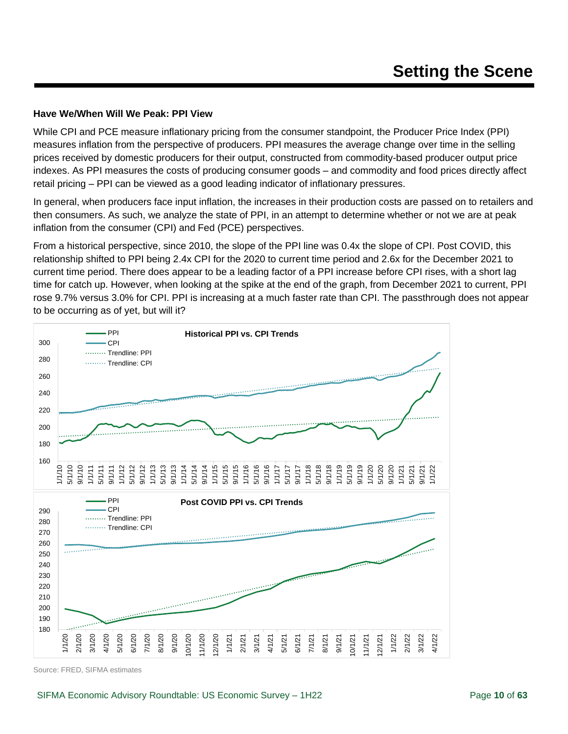#### **Have We/When Will We Peak: PPI View**

While CPI and PCE measure inflationary pricing from the consumer standpoint, the Producer Price Index (PPI) measures inflation from the perspective of producers. PPI measures the average change over time in the selling prices received by domestic producers for their output, constructed from commodity-based producer output price indexes. As PPI measures the costs of producing consumer goods – and commodity and food prices directly affect retail pricing – PPI can be viewed as a good leading indicator of inflationary pressures.

In general, when producers face input inflation, the increases in their production costs are passed on to retailers and then consumers. As such, we analyze the state of PPI, in an attempt to determine whether or not we are at peak inflation from the consumer (CPI) and Fed (PCE) perspectives.

From a historical perspective, since 2010, the slope of the PPI line was 0.4x the slope of CPI. Post COVID, this relationship shifted to PPI being 2.4x CPI for the 2020 to current time period and 2.6x for the December 2021 to current time period. There does appear to be a leading factor of a PPI increase before CPI rises, with a short lag time for catch up. However, when looking at the spike at the end of the graph, from December 2021 to current, PPI rose 9.7% versus 3.0% for CPI. PPI is increasing at a much faster rate than CPI. The passthrough does not appear to be occurring as of yet, but will it?

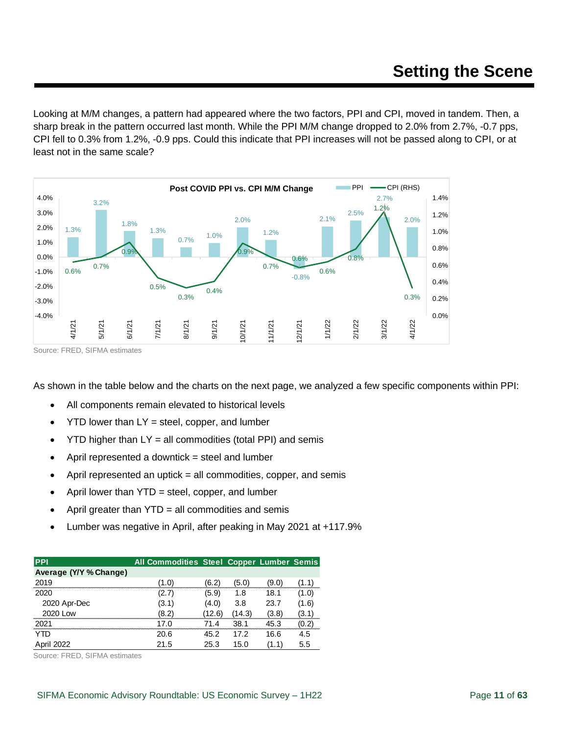Looking at M/M changes, a pattern had appeared where the two factors, PPI and CPI, moved in tandem. Then, a sharp break in the pattern occurred last month. While the PPI M/M change dropped to 2.0% from 2.7%, -0.7 pps, CPI fell to 0.3% from 1.2%, -0.9 pps. Could this indicate that PPI increases will not be passed along to CPI, or at least not in the same scale?



Source: FRED, SIFMA estimates

As shown in the table below and the charts on the next page, we analyzed a few specific components within PPI:

- All components remain elevated to historical levels
- $YTD$  lower than  $LY =$  steel, copper, and lumber
- $YTD$  higher than  $LY = all$  commodities (total PPI) and semis
- April represented a downtick  $=$  steel and lumber
- April represented an uptick  $=$  all commodities, copper, and semis
- April lower than  $YTD =$  steel, copper, and lumber
- April greater than  $YTD = all$  commodities and semis
- Lumber was negative in April, after peaking in May 2021 at +117.9%

| <b>PPI</b>             | All Commodities Steel Copper Lumber Semis |        |        |       |       |
|------------------------|-------------------------------------------|--------|--------|-------|-------|
| Average (Y/Y % Change) |                                           |        |        |       |       |
| 2019                   | (1.0)                                     | (6.2)  | (5.0)  | (9.0) | (1.1) |
| 2020                   | (2.7)                                     | (5.9)  | 1.8    | 18.1  | (1.0) |
| 2020 Apr-Dec           | (3.1)                                     | (4.0)  | 3.8    | 23.7  | (1.6) |
| 2020 Low               | (8.2)                                     | (12.6) | (14.3) | (3.8) | (3.1) |
| 2021                   | 17.0                                      | 71 4   | 38.1   | 45.3  | (0.2) |
| YTD                    | 20.6                                      | 45.2   | 17.2   | 16.6  | 4.5   |
| April 2022             | 21.5                                      | 25.3   | 15.0   | (1.1) | 5.5   |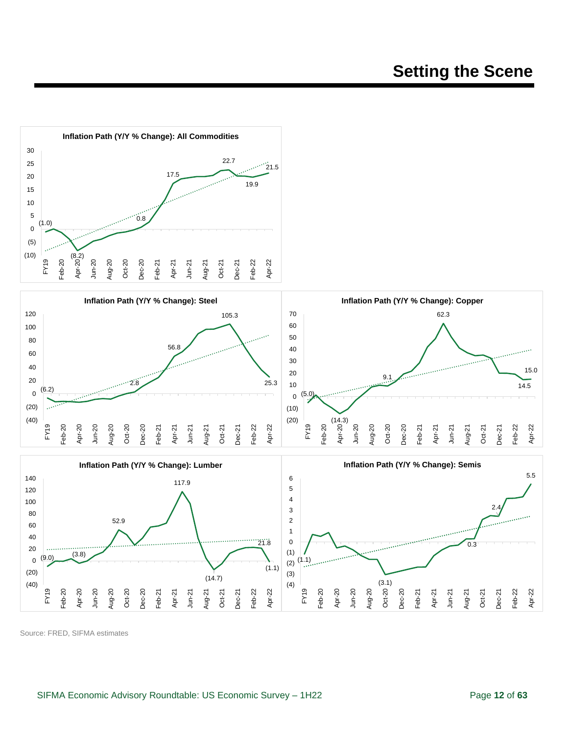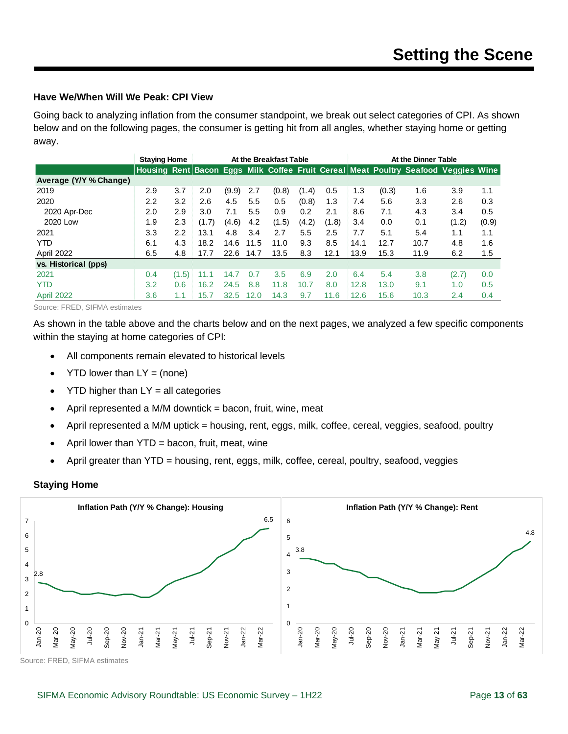#### **Have We/When Will We Peak: CPI View**

Going back to analyzing inflation from the consumer standpoint, we break out select categories of CPI. As shown below and on the following pages, the consumer is getting hit from all angles, whether staying home or getting away.

|                        | <b>Staying Home</b> |       |       | At the Breakfast Table |      |       |               |       |      | At the Dinner Table |                                                                                    |       |       |
|------------------------|---------------------|-------|-------|------------------------|------|-------|---------------|-------|------|---------------------|------------------------------------------------------------------------------------|-------|-------|
|                        |                     |       |       |                        |      |       |               |       |      |                     | Housing Rent Bacon Eggs Milk Coffee Fruit Cereal Meat Poultry Seafood Veggies Wine |       |       |
| Average (Y/Y % Change) |                     |       |       |                        |      |       |               |       |      |                     |                                                                                    |       |       |
| 2019                   | 2.9                 | 3.7   | 2.0   | (9.9)                  | 2.7  | (0.8) | (1.4)         | 0.5   | 1.3  | (0.3)               | 1.6                                                                                | 3.9   | 1.1   |
| 2020                   | $2.2\,$             | 3.2   | 2.6   | 4.5                    | 5.5  | 0.5   | (0.8)         | 1.3   | 7.4  | 5.6                 | 3.3                                                                                | 2.6   | 0.3   |
| 2020 Apr-Dec           | 2.0                 | 2.9   | 3.0   | 7.1                    | 5.5  | 0.9   | $0.2^{\circ}$ | 2.1   | 8.6  | 7.1                 | 4.3                                                                                | 3.4   | 0.5   |
| 2020 Low               | 1.9                 | 2.3   | (1.7) | (4.6)                  | 4.2  | (1.5) | (4.2)         | (1.8) | 3.4  | 0.0                 | 0.1                                                                                | (1.2) | (0.9) |
| 2021                   | 3.3                 | 2.2   | 13.1  | 4.8                    | 3.4  | 2.7   | 5.5           | 2.5   | 7.7  | 5.1                 | 5.4                                                                                | 1.1   | 1.1   |
| <b>YTD</b>             | 6.1                 | 4.3   | 18.2  | 14.6                   | 11.5 | 11.0  | 9.3           | 8.5   | 14.1 | 12.7                | 10.7                                                                               | 4.8   | 1.6   |
| April 2022             | 6.5                 | 4.8   | 17.7  | 22.6                   | 14.7 | 13.5  | 8.3           | 12.1  | 13.9 | 15.3                | 11.9                                                                               | 6.2   | 1.5   |
| vs. Historical (pps)   |                     |       |       |                        |      |       |               |       |      |                     |                                                                                    |       |       |
| 2021                   | 0.4                 | (1.5) | 11.1  | 14.7                   | 0.7  | 3.5   | 6.9           | 2.0   | 6.4  | 5.4                 | 3.8                                                                                | (2.7) | 0.0   |
| <b>YTD</b>             | 3.2                 | 0.6   | 16.2  | 24.5                   | 8.8  | 11.8  | 10.7          | 8.0   | 12.8 | 13.0                | 9.1                                                                                | 1.0   | 0.5   |
| <b>April 2022</b>      | 3.6                 | 1.1   | 15.7  | 32.5                   | 12.0 | 14.3  | 9.7           | 11.6  | 12.6 | 15.6                | 10.3                                                                               | 2.4   | 0.4   |

Source: FRED, SIFMA estimates

As shown in the table above and the charts below and on the next pages, we analyzed a few specific components within the staying at home categories of CPI:

- All components remain elevated to historical levels
- $YTD$  lower than  $LY = (none)$
- YTD higher than  $LY = all$  categories
- April represented a M/M downtick  $=$  bacon, fruit, wine, meat
- April represented a M/M uptick = housing, rent, eggs, milk, coffee, cereal, veggies, seafood, poultry
- April lower than  $YTD =$  bacon, fruit, meat, wine
- April greater than YTD = housing, rent, eggs, milk, coffee, cereal, poultry, seafood, veggies

#### **Staying Home**

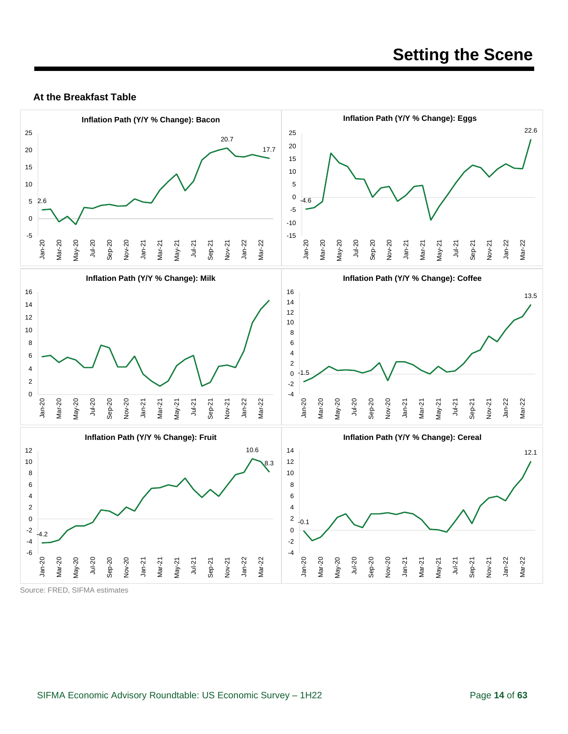#### **At the Breakfast Table**

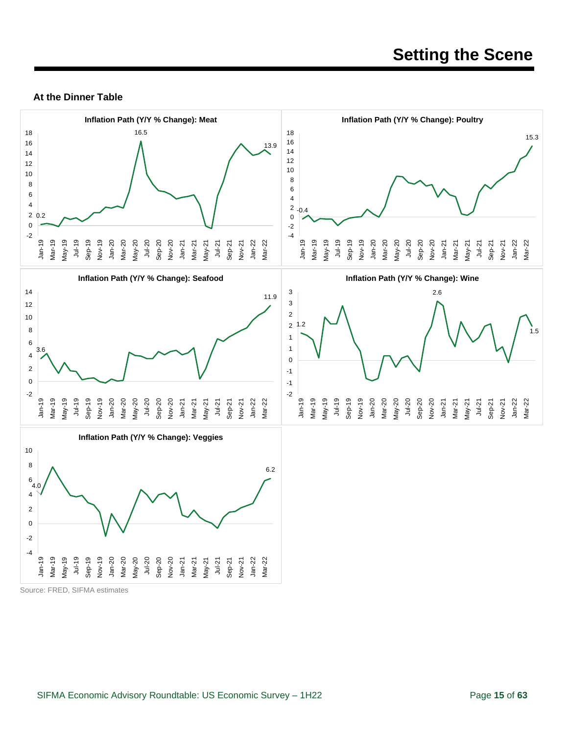#### **At the Dinner Table**

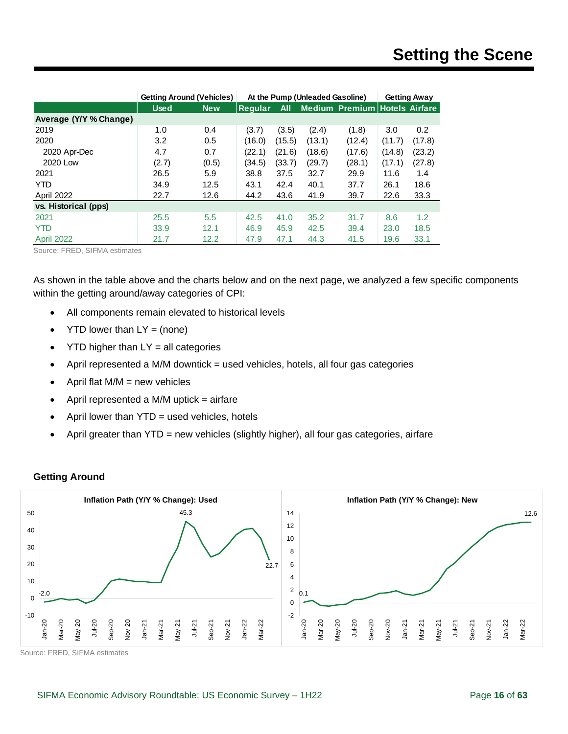|                        | <b>Getting Around (Vehicles)</b> | At the Pump (Unleaded Gasoline) |         | <b>Getting Away</b> |        |                                      |        |        |
|------------------------|----------------------------------|---------------------------------|---------|---------------------|--------|--------------------------------------|--------|--------|
|                        | <b>Used</b>                      | <b>New</b>                      | Reqular | <b>All</b>          |        | <b>Medium Premium Hotels Airfare</b> |        |        |
| Average (Y/Y % Change) |                                  |                                 |         |                     |        |                                      |        |        |
| 2019                   | 1.0                              | 0.4                             | (3.7)   | (3.5)               | (2.4)  | (1.8)                                | 3.0    | 0.2    |
| 2020                   | 3.2                              | 0.5                             | (16.0)  | (15.5)              | (13.1) | (12.4)                               | (11.7) | (17.8) |
| 2020 Apr-Dec           | 4.7                              | 0.7                             | (22.1)  | (21.6)              | (18.6) | (17.6)                               | (14.8) | (23.2) |
| 2020 Low               | (2.7)                            | (0.5)                           | (34.5)  | (33.7)              | (29.7) | (28.1)                               | (17.1) | (27.8) |
| 2021                   | 26.5                             | 5.9                             | 38.8    | 37.5                | 32.7   | 29.9                                 | 11.6   | 1.4    |
| <b>YTD</b>             | 34.9                             | 12.5                            | 43.1    | 42.4                | 40.1   | 37.7                                 | 26.1   | 18.6   |
| April 2022             | 22.7                             | 12.6                            | 44.2    | 43.6                | 41.9   | 39.7                                 | 22.6   | 33.3   |
| vs. Historical (pps)   |                                  |                                 |         |                     |        |                                      |        |        |
| 2021                   | 25.5                             | 5.5                             | 42.5    | 41.0                | 35.2   | 31.7                                 | 8.6    | 1.2    |
| <b>YTD</b>             | 33.9                             | 12.1                            | 46.9    | 45.9                | 42.5   | 39.4                                 | 23.0   | 18.5   |
| April 2022             | 21.7                             | 12.2                            | 47.9    | 47.1                | 44.3   | 41.5                                 | 19.6   | 33.1   |

Source: FRED, SIFMA estimates

As shown in the table above and the charts below and on the next page, we analyzed a few specific components within the getting around/away categories of CPI:

- All components remain elevated to historical levels
- $YTD$  lower than  $LY = (none)$
- $YTD$  higher than  $LY = all$  categories
- April represented a M/M downtick = used vehicles, hotels, all four gas categories
- April flat  $M/M$  = new vehicles
- April represented a M/M uptick  $=$  airfare
- April lower than YTD = used vehicles, hotels
- April greater than YTD = new vehicles (slightly higher), all four gas categories, airfare

#### **Getting Around**

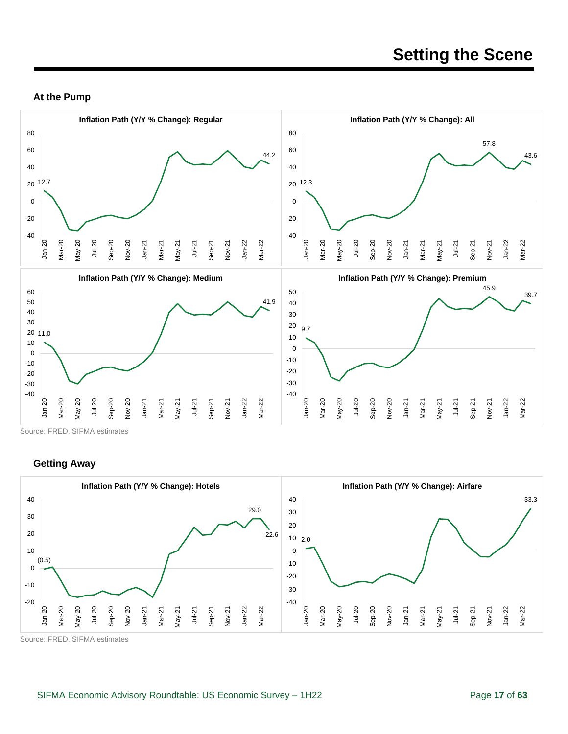#### **At the Pump**



Source: FRED, SIFMA estimates

#### **Getting Away**

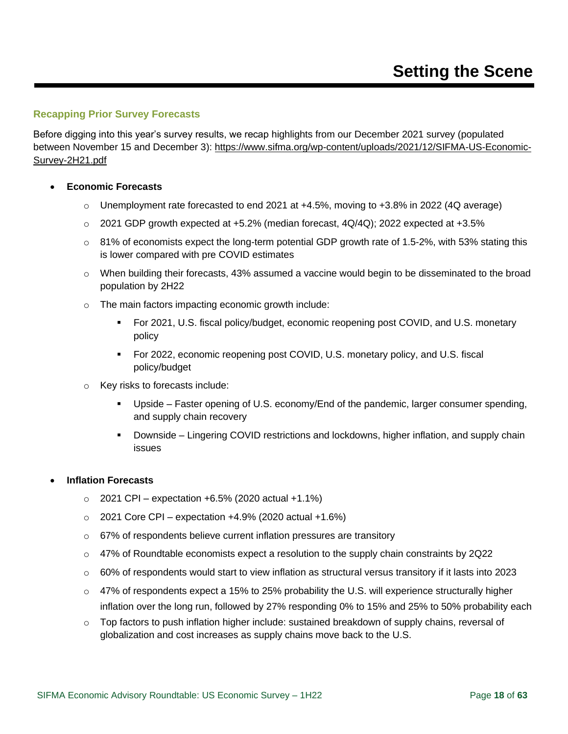#### <span id="page-17-0"></span>**Recapping Prior Survey Forecasts**

Before digging into this year's survey results, we recap highlights from our December 2021 survey (populated between November 15 and December 3): [https://www.sifma.org/wp-content/uploads/2021/12/SIFMA-US-Economic-](https://www.sifma.org/wp-content/uploads/2021/12/SIFMA-US-Economic-Survey-2H21.pdf)[Survey-2H21.pdf](https://www.sifma.org/wp-content/uploads/2021/12/SIFMA-US-Economic-Survey-2H21.pdf)

#### • **Economic Forecasts**

- $\circ$  Unemployment rate forecasted to end 2021 at +4.5%, moving to +3.8% in 2022 (4Q average)
- $\circ$  2021 GDP growth expected at +5.2% (median forecast, 4Q/4Q); 2022 expected at +3.5%
- $\circ$  81% of economists expect the long-term potential GDP growth rate of 1.5-2%, with 53% stating this is lower compared with pre COVID estimates
- $\circ$  When building their forecasts, 43% assumed a vaccine would begin to be disseminated to the broad population by 2H22
- o The main factors impacting economic growth include:
	- For 2021, U.S. fiscal policy/budget, economic reopening post COVID, and U.S. monetary policy
	- For 2022, economic reopening post COVID, U.S. monetary policy, and U.S. fiscal policy/budget
- o Key risks to forecasts include:
	- Upside Faster opening of U.S. economy/End of the pandemic, larger consumer spending, and supply chain recovery
	- **•** Downside Lingering COVID restrictions and lockdowns, higher inflation, and supply chain issues

#### • **Inflation Forecasts**

- $\circ$  2021 CPI expectation +6.5% (2020 actual +1.1%)
- $\circ$  2021 Core CPI expectation +4.9% (2020 actual +1.6%)
- o 67% of respondents believe current inflation pressures are transitory
- $\circ$  47% of Roundtable economists expect a resolution to the supply chain constraints by 2Q22
- $\circ$  60% of respondents would start to view inflation as structural versus transitory if it lasts into 2023
- o 47% of respondents expect a 15% to 25% probability the U.S. will experience structurally higher inflation over the long run, followed by 27% responding 0% to 15% and 25% to 50% probability each
- o Top factors to push inflation higher include: sustained breakdown of supply chains, reversal of globalization and cost increases as supply chains move back to the U.S.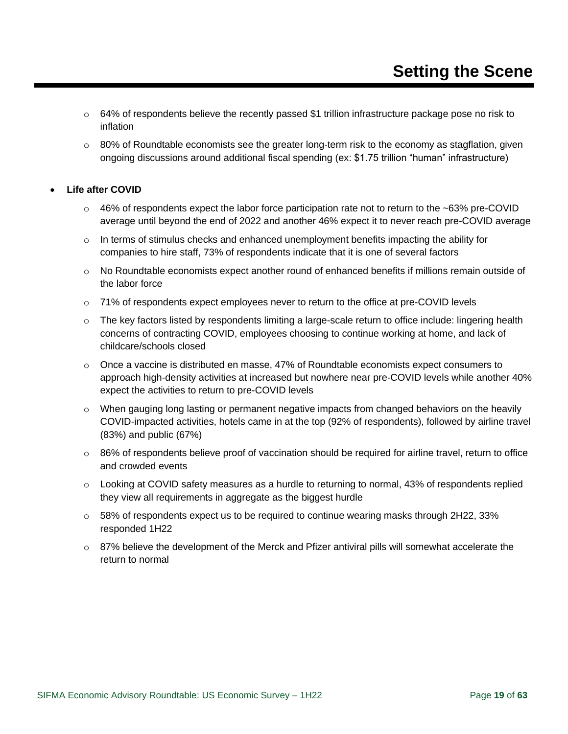- $\circ$  64% of respondents believe the recently passed \$1 trillion infrastructure package pose no risk to inflation
- $\circ$  80% of Roundtable economists see the greater long-term risk to the economy as stagflation, given ongoing discussions around additional fiscal spending (ex: \$1.75 trillion "human" infrastructure)

#### • **Life after COVID**

- $\circ$  46% of respondents expect the labor force participation rate not to return to the ~63% pre-COVID average until beyond the end of 2022 and another 46% expect it to never reach pre-COVID average
- $\circ$  In terms of stimulus checks and enhanced unemployment benefits impacting the ability for companies to hire staff, 73% of respondents indicate that it is one of several factors
- $\circ$  No Roundtable economists expect another round of enhanced benefits if millions remain outside of the labor force
- $\circ$  71% of respondents expect employees never to return to the office at pre-COVID levels
- $\circ$  The key factors listed by respondents limiting a large-scale return to office include: lingering health concerns of contracting COVID, employees choosing to continue working at home, and lack of childcare/schools closed
- $\circ$  Once a vaccine is distributed en masse, 47% of Roundtable economists expect consumers to approach high-density activities at increased but nowhere near pre-COVID levels while another 40% expect the activities to return to pre-COVID levels
- $\circ$  When gauging long lasting or permanent negative impacts from changed behaviors on the heavily COVID-impacted activities, hotels came in at the top (92% of respondents), followed by airline travel (83%) and public (67%)
- o 86% of respondents believe proof of vaccination should be required for airline travel, return to office and crowded events
- o Looking at COVID safety measures as a hurdle to returning to normal, 43% of respondents replied they view all requirements in aggregate as the biggest hurdle
- $\circ$  58% of respondents expect us to be required to continue wearing masks through 2H22, 33% responded 1H22
- $\circ$  87% believe the development of the Merck and Pfizer antiviral pills will somewhat accelerate the return to normal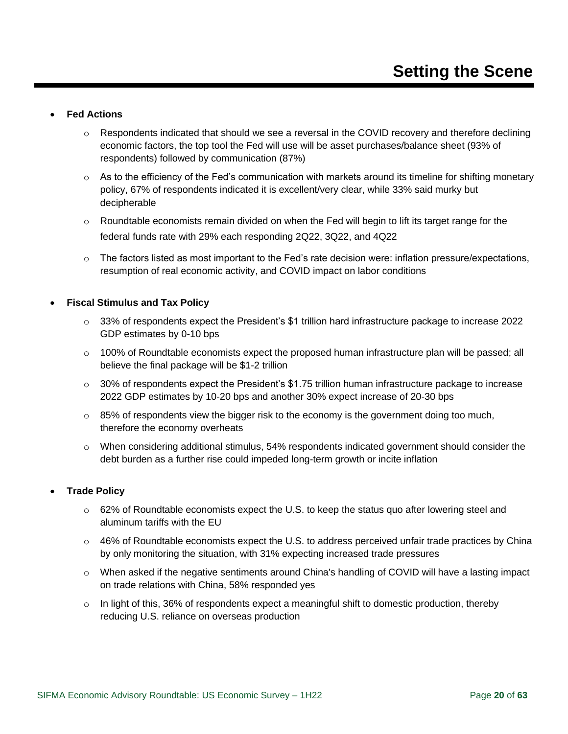#### • **Fed Actions**

- o Respondents indicated that should we see a reversal in the COVID recovery and therefore declining economic factors, the top tool the Fed will use will be asset purchases/balance sheet (93% of respondents) followed by communication (87%)
- $\circ$  As to the efficiency of the Fed's communication with markets around its timeline for shifting monetary policy, 67% of respondents indicated it is excellent/very clear, while 33% said murky but decipherable
- $\circ$  Roundtable economists remain divided on when the Fed will begin to lift its target range for the federal funds rate with 29% each responding 2Q22, 3Q22, and 4Q22
- $\circ$  The factors listed as most important to the Fed's rate decision were: inflation pressure/expectations, resumption of real economic activity, and COVID impact on labor conditions

#### • **Fiscal Stimulus and Tax Policy**

- o 33% of respondents expect the President's \$1 trillion hard infrastructure package to increase 2022 GDP estimates by 0-10 bps
- $\circ$  100% of Roundtable economists expect the proposed human infrastructure plan will be passed; all believe the final package will be \$1-2 trillion
- $\circ$  30% of respondents expect the President's \$1.75 trillion human infrastructure package to increase 2022 GDP estimates by 10-20 bps and another 30% expect increase of 20-30 bps
- $\circ$  85% of respondents view the bigger risk to the economy is the government doing too much, therefore the economy overheats
- $\circ$  When considering additional stimulus, 54% respondents indicated government should consider the debt burden as a further rise could impeded long-term growth or incite inflation

#### • **Trade Policy**

- o 62% of Roundtable economists expect the U.S. to keep the status quo after lowering steel and aluminum tariffs with the EU
- $\circ$  46% of Roundtable economists expect the U.S. to address perceived unfair trade practices by China by only monitoring the situation, with 31% expecting increased trade pressures
- $\circ$  When asked if the negative sentiments around China's handling of COVID will have a lasting impact on trade relations with China, 58% responded yes
- $\circ$  In light of this, 36% of respondents expect a meaningful shift to domestic production, thereby reducing U.S. reliance on overseas production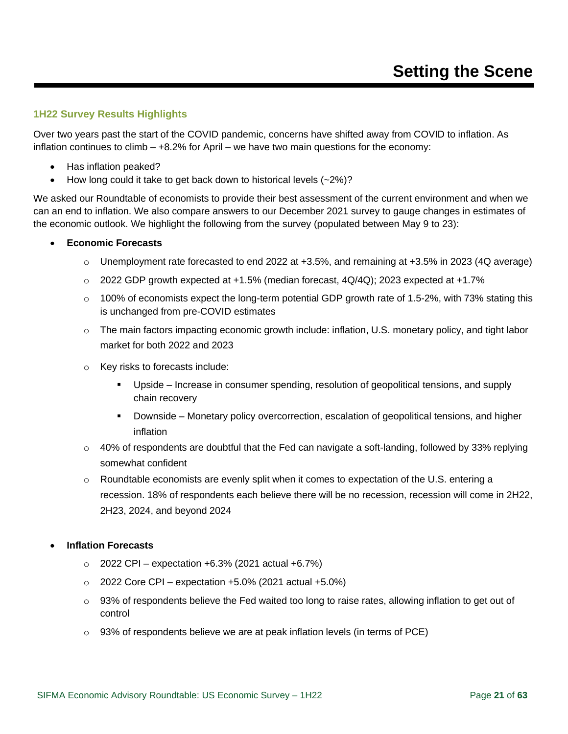#### <span id="page-20-0"></span>**1H22 Survey Results Highlights**

Over two years past the start of the COVID pandemic, concerns have shifted away from COVID to inflation. As inflation continues to climb – +8.2% for April – we have two main questions for the economy:

- Has inflation peaked?
- How long could it take to get back down to historical levels  $(-2%)$ ?

We asked our Roundtable of economists to provide their best assessment of the current environment and when we can an end to inflation. We also compare answers to our December 2021 survey to gauge changes in estimates of the economic outlook. We highlight the following from the survey (populated between May 9 to 23):

#### • **Economic Forecasts**

- $\circ$  Unemployment rate forecasted to end 2022 at +3.5%, and remaining at +3.5% in 2023 (4Q average)
- $\circ$  2022 GDP growth expected at +1.5% (median forecast, 4Q/4Q); 2023 expected at +1.7%
- $\circ$  100% of economists expect the long-term potential GDP growth rate of 1.5-2%, with 73% stating this is unchanged from pre-COVID estimates
- $\circ$  The main factors impacting economic growth include: inflation, U.S. monetary policy, and tight labor market for both 2022 and 2023
- o Key risks to forecasts include:
	- Upside Increase in consumer spending, resolution of geopolitical tensions, and supply chain recovery
	- **•** Downside Monetary policy overcorrection, escalation of geopolitical tensions, and higher inflation
- $\circ$  40% of respondents are doubtful that the Fed can navigate a soft-landing, followed by 33% replying somewhat confident
- $\circ$  Roundtable economists are evenly split when it comes to expectation of the U.S. entering a recession. 18% of respondents each believe there will be no recession, recession will come in 2H22, 2H23, 2024, and beyond 2024

#### • **Inflation Forecasts**

- $\circ$  2022 CPI expectation +6.3% (2021 actual +6.7%)
- $\circ$  2022 Core CPI expectation +5.0% (2021 actual +5.0%)
- $\circ$  93% of respondents believe the Fed waited too long to raise rates, allowing inflation to get out of control
- $\circ$  93% of respondents believe we are at peak inflation levels (in terms of PCE)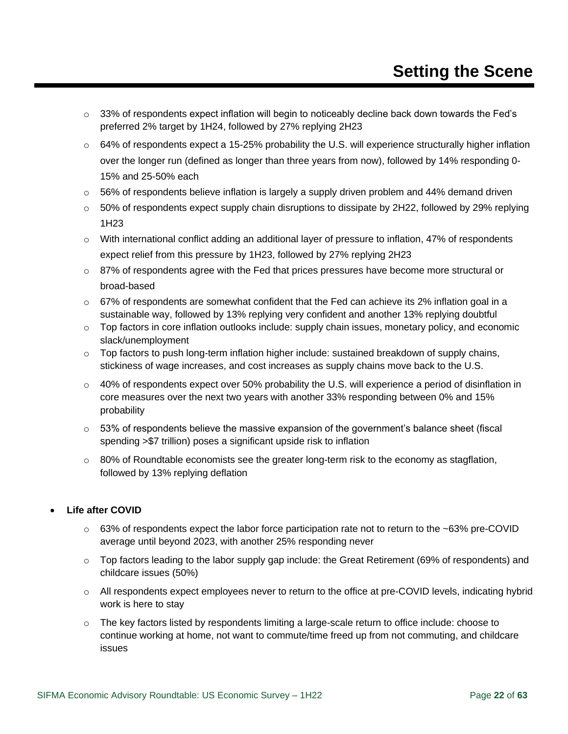- $\circ$  33% of respondents expect inflation will begin to noticeably decline back down towards the Fed's preferred 2% target by 1H24, followed by 27% replying 2H23
- $\circ$  64% of respondents expect a 15-25% probability the U.S. will experience structurally higher inflation over the longer run (defined as longer than three years from now), followed by 14% responding 0- 15% and 25-50% each
- $\circ$  56% of respondents believe inflation is largely a supply driven problem and 44% demand driven
- $\circ$  50% of respondents expect supply chain disruptions to dissipate by 2H22, followed by 29% replying 1H23
- o With international conflict adding an additional layer of pressure to inflation, 47% of respondents expect relief from this pressure by 1H23, followed by 27% replying 2H23
- $\circ$  87% of respondents agree with the Fed that prices pressures have become more structural or broad-based
- $\circ$  67% of respondents are somewhat confident that the Fed can achieve its 2% inflation goal in a sustainable way, followed by 13% replying very confident and another 13% replying doubtful
- $\circ$  Top factors in core inflation outlooks include: supply chain issues, monetary policy, and economic slack/unemployment
- $\circ$  Top factors to push long-term inflation higher include: sustained breakdown of supply chains, stickiness of wage increases, and cost increases as supply chains move back to the U.S.
- $\circ$  40% of respondents expect over 50% probability the U.S. will experience a period of disinflation in core measures over the next two years with another 33% responding between 0% and 15% probability
- $\circ$  53% of respondents believe the massive expansion of the government's balance sheet (fiscal spending >\$7 trillion) poses a significant upside risk to inflation
- $\circ$  80% of Roundtable economists see the greater long-term risk to the economy as stagflation, followed by 13% replying deflation

#### • **Life after COVID**

- o 63% of respondents expect the labor force participation rate not to return to the ~63% pre-COVID average until beyond 2023, with another 25% responding never
- o Top factors leading to the labor supply gap include: the Great Retirement (69% of respondents) and childcare issues (50%)
- o All respondents expect employees never to return to the office at pre-COVID levels, indicating hybrid work is here to stay
- $\circ$  The key factors listed by respondents limiting a large-scale return to office include: choose to continue working at home, not want to commute/time freed up from not commuting, and childcare issues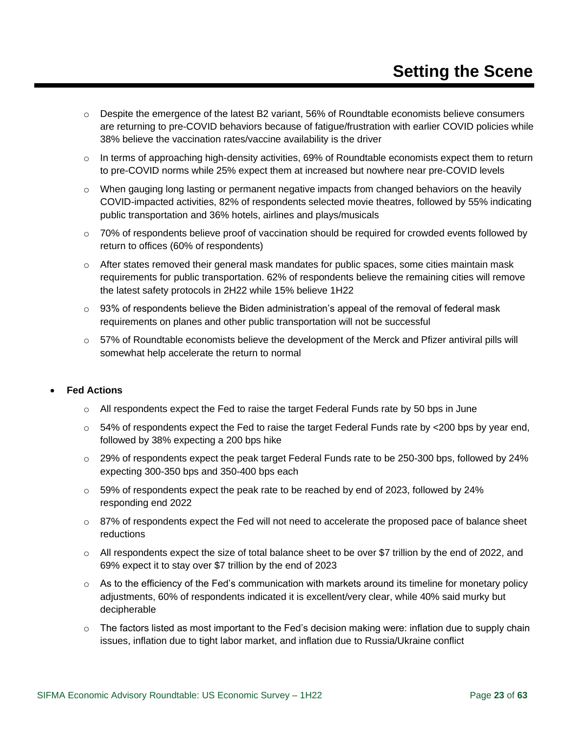- $\circ$  Despite the emergence of the latest B2 variant, 56% of Roundtable economists believe consumers are returning to pre-COVID behaviors because of fatigue/frustration with earlier COVID policies while 38% believe the vaccination rates/vaccine availability is the driver
- $\circ$  In terms of approaching high-density activities, 69% of Roundtable economists expect them to return to pre-COVID norms while 25% expect them at increased but nowhere near pre-COVID levels
- $\circ$  When gauging long lasting or permanent negative impacts from changed behaviors on the heavily COVID-impacted activities, 82% of respondents selected movie theatres, followed by 55% indicating public transportation and 36% hotels, airlines and plays/musicals
- o 70% of respondents believe proof of vaccination should be required for crowded events followed by return to offices (60% of respondents)
- o After states removed their general mask mandates for public spaces, some cities maintain mask requirements for public transportation. 62% of respondents believe the remaining cities will remove the latest safety protocols in 2H22 while 15% believe 1H22
- $\circ$  93% of respondents believe the Biden administration's appeal of the removal of federal mask requirements on planes and other public transportation will not be successful
- $\circ$  57% of Roundtable economists believe the development of the Merck and Pfizer antiviral pills will somewhat help accelerate the return to normal

#### • **Fed Actions**

- $\circ$  All respondents expect the Fed to raise the target Federal Funds rate by 50 bps in June
- $\circ$  54% of respondents expect the Fed to raise the target Federal Funds rate by <200 bps by year end, followed by 38% expecting a 200 bps hike
- o 29% of respondents expect the peak target Federal Funds rate to be 250-300 bps, followed by 24% expecting 300-350 bps and 350-400 bps each
- $\circ$  59% of respondents expect the peak rate to be reached by end of 2023, followed by 24% responding end 2022
- $\circ$  87% of respondents expect the Fed will not need to accelerate the proposed pace of balance sheet reductions
- $\circ$  All respondents expect the size of total balance sheet to be over \$7 trillion by the end of 2022, and 69% expect it to stay over \$7 trillion by the end of 2023
- $\circ$  As to the efficiency of the Fed's communication with markets around its timeline for monetary policy adjustments, 60% of respondents indicated it is excellent/very clear, while 40% said murky but decipherable
- $\circ$  The factors listed as most important to the Fed's decision making were: inflation due to supply chain issues, inflation due to tight labor market, and inflation due to Russia/Ukraine conflict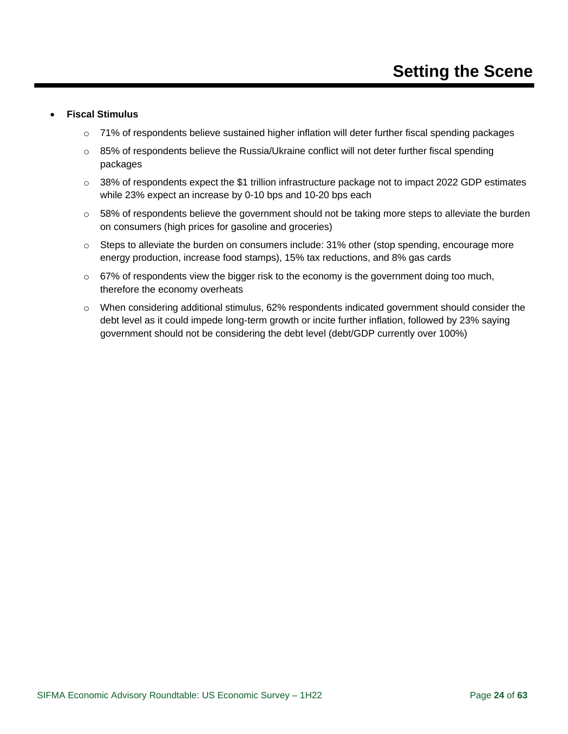#### • **Fiscal Stimulus**

- o 71% of respondents believe sustained higher inflation will deter further fiscal spending packages
- $\circ$  85% of respondents believe the Russia/Ukraine conflict will not deter further fiscal spending packages
- $\circ$  38% of respondents expect the \$1 trillion infrastructure package not to impact 2022 GDP estimates while 23% expect an increase by 0-10 bps and 10-20 bps each
- o 58% of respondents believe the government should not be taking more steps to alleviate the burden on consumers (high prices for gasoline and groceries)
- $\circ$  Steps to alleviate the burden on consumers include: 31% other (stop spending, encourage more energy production, increase food stamps), 15% tax reductions, and 8% gas cards
- $\circ$  67% of respondents view the bigger risk to the economy is the government doing too much, therefore the economy overheats
- $\circ$  When considering additional stimulus, 62% respondents indicated government should consider the debt level as it could impede long-term growth or incite further inflation, followed by 23% saying government should not be considering the debt level (debt/GDP currently over 100%)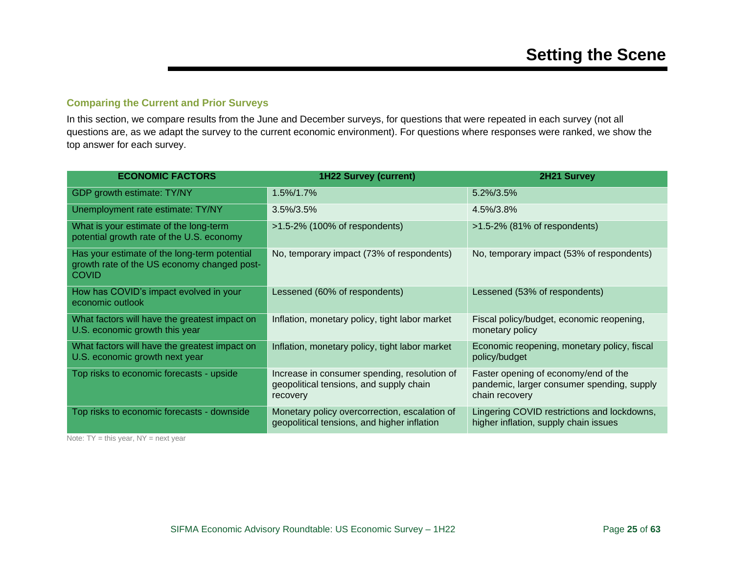#### **Comparing the Current and Prior Surveys**

In this section, we compare results from the June and December surveys, for questions that were repeated in each survey (not all questions are, as we adapt the survey to the current economic environment). For questions where responses were ranked, we show the top answer for each survey.

<span id="page-24-0"></span>

| <b>ECONOMIC FACTORS</b>                                                                                     | <b>1H22 Survey (current)</b>                                                                        | 2H21 Survey                                                                                          |
|-------------------------------------------------------------------------------------------------------------|-----------------------------------------------------------------------------------------------------|------------------------------------------------------------------------------------------------------|
| GDP growth estimate: TY/NY                                                                                  | $1.5\%/1.7\%$                                                                                       | 5.2%/3.5%                                                                                            |
| Unemployment rate estimate: TY/NY                                                                           | $3.5\%/3.5\%$                                                                                       | 4.5%/3.8%                                                                                            |
| What is your estimate of the long-term<br>potential growth rate of the U.S. economy                         | $>1.5-2\%$ (100% of respondents)                                                                    | $>1.5-2\%$ (81% of respondents)                                                                      |
| Has your estimate of the long-term potential<br>growth rate of the US economy changed post-<br><b>COVID</b> | No, temporary impact (73% of respondents)                                                           | No, temporary impact (53% of respondents)                                                            |
| How has COVID's impact evolved in your<br>economic outlook                                                  | Lessened (60% of respondents)                                                                       | Lessened (53% of respondents)                                                                        |
| What factors will have the greatest impact on<br>U.S. economic growth this year                             | Inflation, monetary policy, tight labor market                                                      | Fiscal policy/budget, economic reopening,<br>monetary policy                                         |
| What factors will have the greatest impact on<br>U.S. economic growth next year                             | Inflation, monetary policy, tight labor market                                                      | Economic reopening, monetary policy, fiscal<br>policy/budget                                         |
| Top risks to economic forecasts - upside                                                                    | Increase in consumer spending, resolution of<br>geopolitical tensions, and supply chain<br>recovery | Faster opening of economy/end of the<br>pandemic, larger consumer spending, supply<br>chain recovery |
| Top risks to economic forecasts - downside                                                                  | Monetary policy overcorrection, escalation of<br>geopolitical tensions, and higher inflation        | Lingering COVID restrictions and lockdowns,<br>higher inflation, supply chain issues                 |

Note:  $TY = this year$ ,  $NY = next year$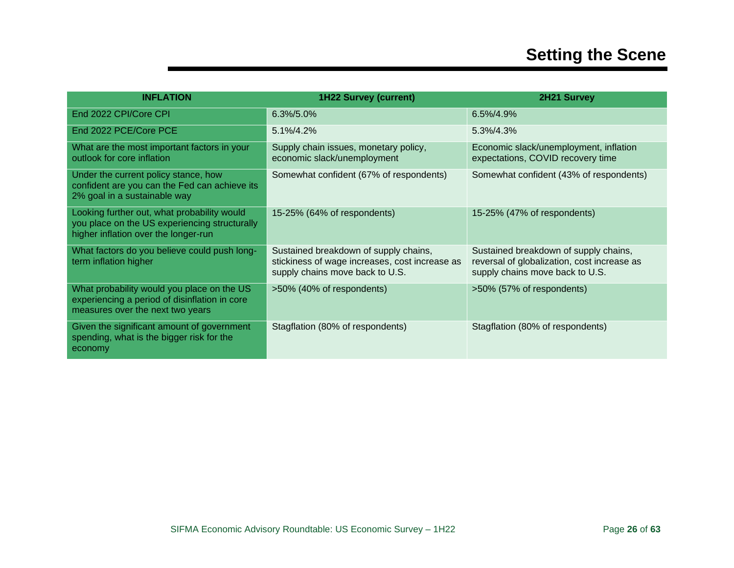| <b>INFLATION</b>                                                                                                                     | <b>1H22 Survey (current)</b>                                                                                               | 2H21 Survey                                                                                                             |
|--------------------------------------------------------------------------------------------------------------------------------------|----------------------------------------------------------------------------------------------------------------------------|-------------------------------------------------------------------------------------------------------------------------|
| End 2022 CPI/Core CPI                                                                                                                | $6.3\%/5.0\%$                                                                                                              | 6.5%/4.9%                                                                                                               |
| End 2022 PCE/Core PCE                                                                                                                | 5.1%/4.2%                                                                                                                  | 5.3%/4.3%                                                                                                               |
| What are the most important factors in your<br>outlook for core inflation                                                            | Supply chain issues, monetary policy,<br>economic slack/unemployment                                                       | Economic slack/unemployment, inflation<br>expectations, COVID recovery time                                             |
| Under the current policy stance, how<br>confident are you can the Fed can achieve its<br>2% goal in a sustainable way                | Somewhat confident (67% of respondents)                                                                                    | Somewhat confident (43% of respondents)                                                                                 |
| Looking further out, what probability would<br>you place on the US experiencing structurally<br>higher inflation over the longer-run | 15-25% (64% of respondents)                                                                                                | 15-25% (47% of respondents)                                                                                             |
| What factors do you believe could push long-<br>term inflation higher                                                                | Sustained breakdown of supply chains,<br>stickiness of wage increases, cost increase as<br>supply chains move back to U.S. | Sustained breakdown of supply chains,<br>reversal of globalization, cost increase as<br>supply chains move back to U.S. |
| What probability would you place on the US<br>experiencing a period of disinflation in core<br>measures over the next two years      | >50% (40% of respondents)                                                                                                  | >50% (57% of respondents)                                                                                               |
| Given the significant amount of government<br>spending, what is the bigger risk for the<br>economy                                   | Stagflation (80% of respondents)                                                                                           | Stagflation (80% of respondents)                                                                                        |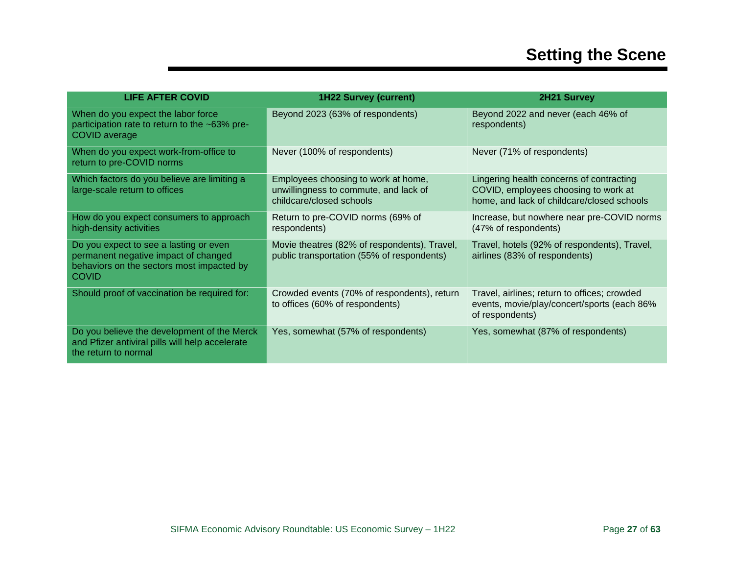| <b>LIFE AFTER COVID</b>                                                                                                                     | <b>1H22 Survey (current)</b>                                                                             | 2H21 Survey                                                                                                                    |
|---------------------------------------------------------------------------------------------------------------------------------------------|----------------------------------------------------------------------------------------------------------|--------------------------------------------------------------------------------------------------------------------------------|
| When do you expect the labor force<br>participation rate to return to the ~63% pre-<br><b>COVID</b> average                                 | Beyond 2023 (63% of respondents)                                                                         | Beyond 2022 and never (each 46% of<br>respondents)                                                                             |
| When do you expect work-from-office to<br>return to pre-COVID norms                                                                         | Never (100% of respondents)                                                                              | Never (71% of respondents)                                                                                                     |
| Which factors do you believe are limiting a<br>large-scale return to offices                                                                | Employees choosing to work at home,<br>unwillingness to commute, and lack of<br>childcare/closed schools | Lingering health concerns of contracting<br>COVID, employees choosing to work at<br>home, and lack of childcare/closed schools |
| How do you expect consumers to approach<br>high-density activities                                                                          | Return to pre-COVID norms (69% of<br>respondents)                                                        | Increase, but nowhere near pre-COVID norms<br>(47% of respondents)                                                             |
| Do you expect to see a lasting or even<br>permanent negative impact of changed<br>behaviors on the sectors most impacted by<br><b>COVID</b> | Movie theatres (82% of respondents), Travel,<br>public transportation (55% of respondents)               | Travel, hotels (92% of respondents), Travel,<br>airlines (83% of respondents)                                                  |
| Should proof of vaccination be required for:                                                                                                | Crowded events (70% of respondents), return<br>to offices (60% of respondents)                           | Travel, airlines; return to offices; crowded<br>events, movie/play/concert/sports (each 86%<br>of respondents)                 |
| Do you believe the development of the Merck<br>and Pfizer antiviral pills will help accelerate<br>the return to normal                      | Yes, somewhat (57% of respondents)                                                                       | Yes, somewhat (87% of respondents)                                                                                             |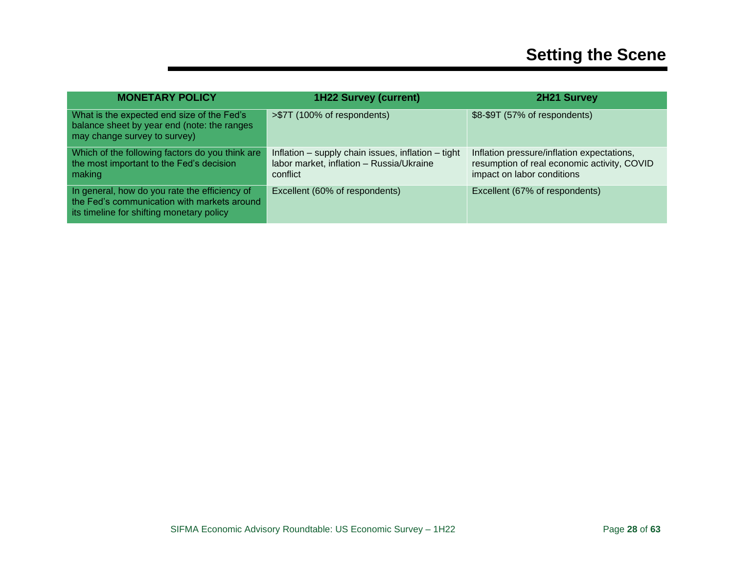| <b>MONETARY POLICY</b>                                                                                                                    | <b>1H22 Survey (current)</b>                                                                               | <b>2H21 Survey</b>                                                                                                      |
|-------------------------------------------------------------------------------------------------------------------------------------------|------------------------------------------------------------------------------------------------------------|-------------------------------------------------------------------------------------------------------------------------|
| What is the expected end size of the Fed's<br>balance sheet by year end (note: the ranges<br>may change survey to survey)                 | >\$7T (100% of respondents)                                                                                | \$8-\$9T (57% of respondents)                                                                                           |
| Which of the following factors do you think are<br>the most important to the Fed's decision<br>making                                     | Inflation – supply chain issues, inflation – tight<br>labor market, inflation - Russia/Ukraine<br>conflict | Inflation pressure/inflation expectations,<br>resumption of real economic activity, COVID<br>impact on labor conditions |
| In general, how do you rate the efficiency of<br>the Fed's communication with markets around<br>its timeline for shifting monetary policy | Excellent (60% of respondents)                                                                             | Excellent (67% of respondents)                                                                                          |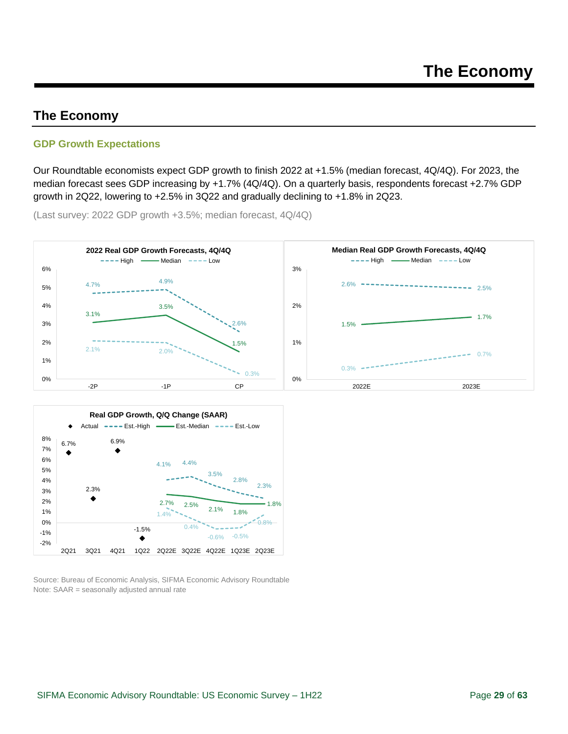### <span id="page-28-0"></span>**The Economy**

#### <span id="page-28-1"></span>**GDP Growth Expectations**

Our Roundtable economists expect GDP growth to finish 2022 at +1.5% (median forecast, 4Q/4Q). For 2023, the median forecast sees GDP increasing by +1.7% (4Q/4Q). On a quarterly basis, respondents forecast +2.7% GDP growth in 2Q22, lowering to +2.5% in 3Q22 and gradually declining to +1.8% in 2Q23.

(Last survey: 2022 GDP growth +3.5%; median forecast, 4Q/4Q)





Source: Bureau of Economic Analysis, SIFMA Economic Advisory Roundtable Note: SAAR = seasonally adjusted annual rate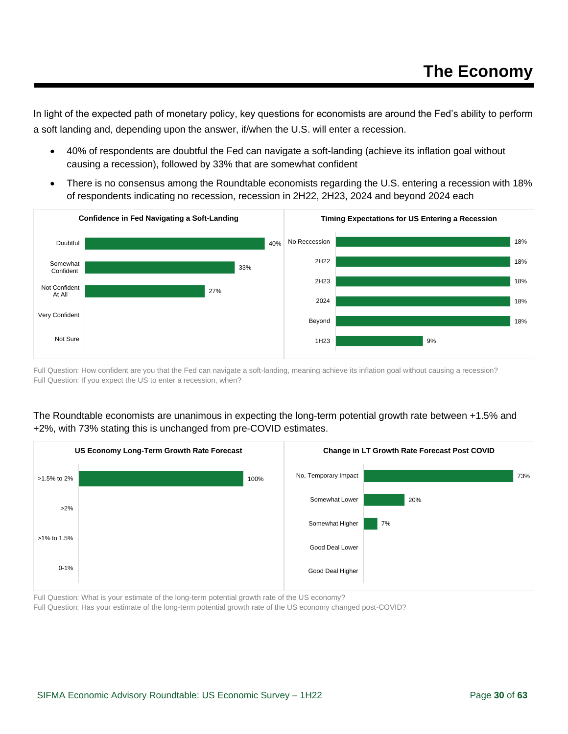In light of the expected path of monetary policy, key questions for economists are around the Fed's ability to perform a soft landing and, depending upon the answer, if/when the U.S. will enter a recession.

- 40% of respondents are doubtful the Fed can navigate a soft-landing (achieve its inflation goal without causing a recession), followed by 33% that are somewhat confident
- There is no consensus among the Roundtable economists regarding the U.S. entering a recession with 18% of respondents indicating no recession, recession in 2H22, 2H23, 2024 and beyond 2024 each



Full Question: How confident are you that the Fed can navigate a soft-landing, meaning achieve its inflation goal without causing a recession? Full Question: If you expect the US to enter a recession, when?

#### The Roundtable economists are unanimous in expecting the long-term potential growth rate between +1.5% and +2%, with 73% stating this is unchanged from pre-COVID estimates.



Full Question: What is your estimate of the long-term potential growth rate of the US economy?

Full Question: Has your estimate of the long-term potential growth rate of the US economy changed post-COVID?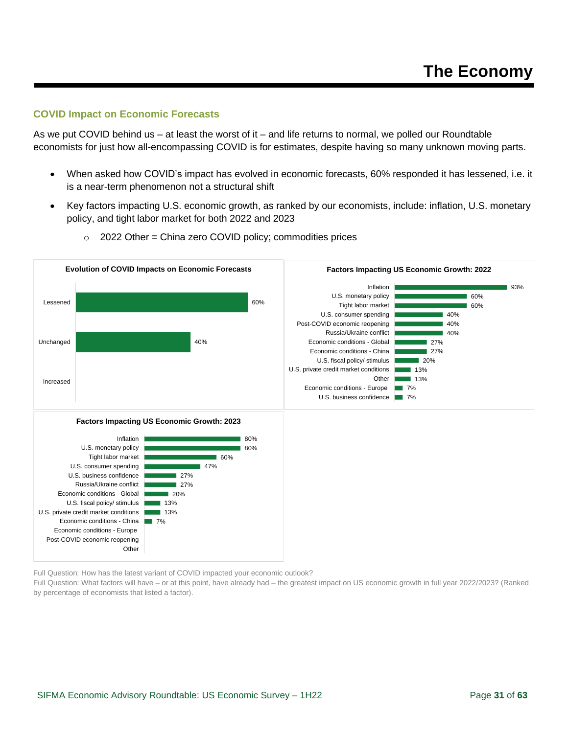#### <span id="page-30-0"></span>**COVID Impact on Economic Forecasts**

As we put COVID behind us – at least the worst of it – and life returns to normal, we polled our Roundtable economists for just how all-encompassing COVID is for estimates, despite having so many unknown moving parts.

- When asked how COVID's impact has evolved in economic forecasts, 60% responded it has lessened, i.e. it is a near-term phenomenon not a structural shift
- Key factors impacting U.S. economic growth, as ranked by our economists, include: inflation, U.S. monetary policy, and tight labor market for both 2022 and 2023



 $\circ$  2022 Other = China zero COVID policy; commodities prices

Full Question: How has the latest variant of COVID impacted your economic outlook?

Full Question: What factors will have – or at this point, have already had – the greatest impact on US economic growth in full year 2022/2023? (Ranked by percentage of economists that listed a factor).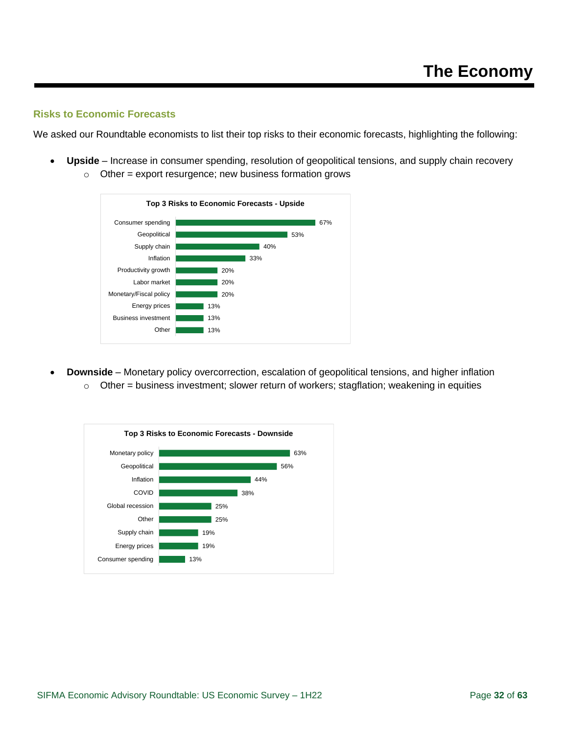#### <span id="page-31-0"></span>**Risks to Economic Forecasts**

We asked our Roundtable economists to list their top risks to their economic forecasts, highlighting the following:

• **Upside** – Increase in consumer spending, resolution of geopolitical tensions, and supply chain recovery





• **Downside** – Monetary policy overcorrection, escalation of geopolitical tensions, and higher inflation  $\circ$  Other = business investment; slower return of workers; stagflation; weakening in equities

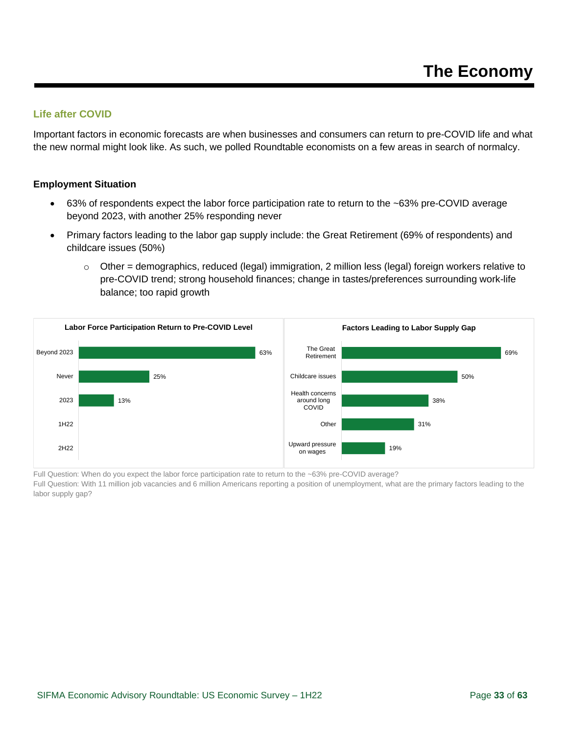#### <span id="page-32-0"></span>**Life after COVID**

Important factors in economic forecasts are when businesses and consumers can return to pre-COVID life and what the new normal might look like. As such, we polled Roundtable economists on a few areas in search of normalcy.

#### **Employment Situation**

- 63% of respondents expect the labor force participation rate to return to the ~63% pre-COVID average beyond 2023, with another 25% responding never
- Primary factors leading to the labor gap supply include: the Great Retirement (69% of respondents) and childcare issues (50%)
	- $\circ$  Other = demographics, reduced (legal) immigration, 2 million less (legal) foreign workers relative to pre-COVID trend; strong household finances; change in tastes/preferences surrounding work-life balance; too rapid growth



Full Question: When do you expect the labor force participation rate to return to the ~63% pre-COVID average?

Full Question: With 11 million job vacancies and 6 million Americans reporting a position of unemployment, what are the primary factors leading to the labor supply gap?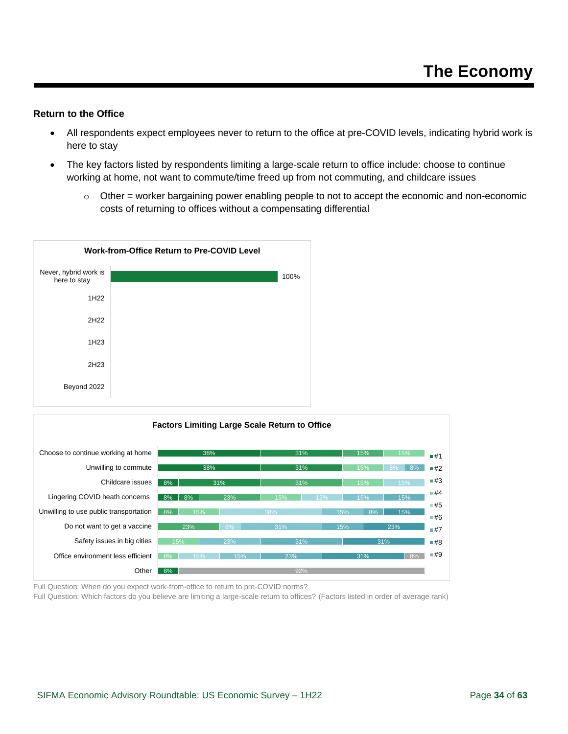#### **Return to the Office**

- All respondents expect employees never to return to the office at pre-COVID levels, indicating hybrid work is here to stay
- The key factors listed by respondents limiting a large-scale return to office include: choose to continue working at home, not want to commute/time freed up from not commuting, and childcare issues
	- $\circ$  Other = worker bargaining power enabling people to not to accept the economic and non-economic costs of returning to offices without a compensating differential





Full Question: When do you expect work-from-office to return to pre-COVID norms? Full Question: Which factors do you believe are limiting a large-scale return to offices? (Factors listed in order of average rank)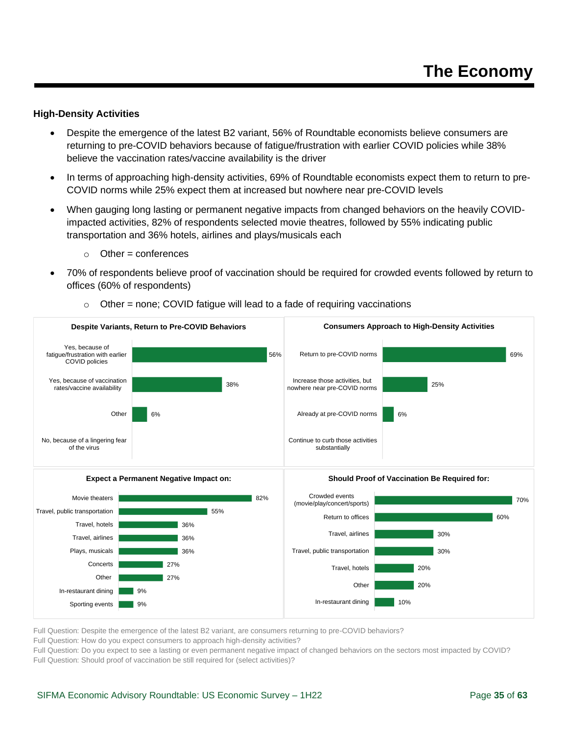#### **High-Density Activities**

- Despite the emergence of the latest B2 variant, 56% of Roundtable economists believe consumers are returning to pre-COVID behaviors because of fatigue/frustration with earlier COVID policies while 38% believe the vaccination rates/vaccine availability is the driver
- In terms of approaching high-density activities, 69% of Roundtable economists expect them to return to pre-COVID norms while 25% expect them at increased but nowhere near pre-COVID levels
- When gauging long lasting or permanent negative impacts from changed behaviors on the heavily COVIDimpacted activities, 82% of respondents selected movie theatres, followed by 55% indicating public transportation and 36% hotels, airlines and plays/musicals each
	- $\circ$  Other = conferences
- 70% of respondents believe proof of vaccination should be required for crowded events followed by return to offices (60% of respondents)



 $\circ$  Other = none; COVID fatigue will lead to a fade of requiring vaccinations

Full Question: Despite the emergence of the latest B2 variant, are consumers returning to pre-COVID behaviors?

Full Question: How do you expect consumers to approach high-density activities?

Full Question: Do you expect to see a lasting or even permanent negative impact of changed behaviors on the sectors most impacted by COVID? Full Question: Should proof of vaccination be still required for (select activities)?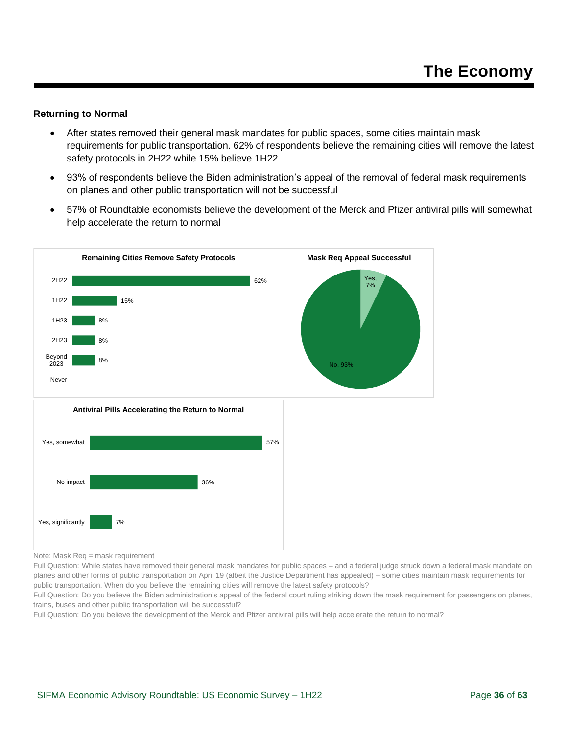#### **Returning to Normal**

- After states removed their general mask mandates for public spaces, some cities maintain mask requirements for public transportation. 62% of respondents believe the remaining cities will remove the latest safety protocols in 2H22 while 15% believe 1H22
- 93% of respondents believe the Biden administration's appeal of the removal of federal mask requirements on planes and other public transportation will not be successful
- 57% of Roundtable economists believe the development of the Merck and Pfizer antiviral pills will somewhat help accelerate the return to normal



Note: Mask Req = mask requirement

Full Question: While states have removed their general mask mandates for public spaces – and a federal judge struck down a federal mask mandate on planes and other forms of public transportation on April 19 (albeit the Justice Department has appealed) – some cities maintain mask requirements for public transportation. When do you believe the remaining cities will remove the latest safety protocols?

Full Question: Do you believe the Biden administration's appeal of the federal court ruling striking down the mask requirement for passengers on planes, trains, buses and other public transportation will be successful?

Full Question: Do you believe the development of the Merck and Pfizer antiviral pills will help accelerate the return to normal?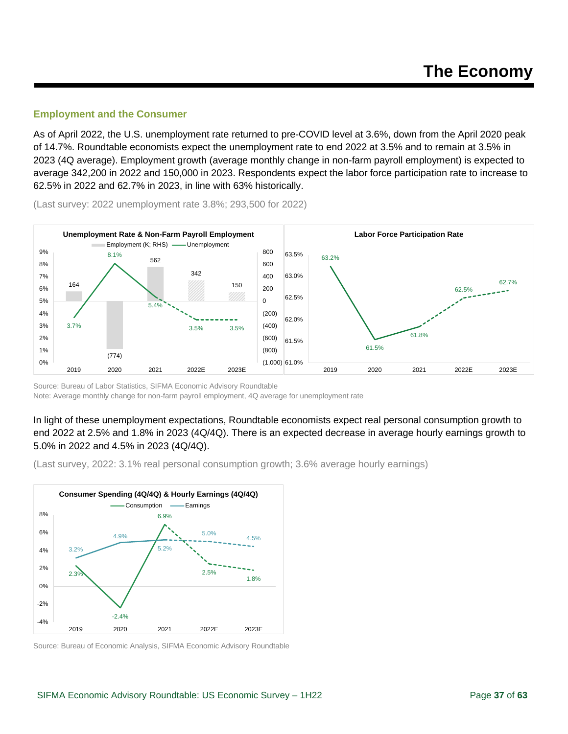#### <span id="page-36-0"></span>**Employment and the Consumer**

As of April 2022, the U.S. unemployment rate returned to pre-COVID level at 3.6%, down from the April 2020 peak of 14.7%. Roundtable economists expect the unemployment rate to end 2022 at 3.5% and to remain at 3.5% in 2023 (4Q average). Employment growth (average monthly change in non-farm payroll employment) is expected to average 342,200 in 2022 and 150,000 in 2023. Respondents expect the labor force participation rate to increase to 62.5% in 2022 and 62.7% in 2023, in line with 63% historically.



(Last survey: 2022 unemployment rate 3.8%; 293,500 for 2022)

Source: Bureau of Labor Statistics, SIFMA Economic Advisory Roundtable Note: Average monthly change for non-farm payroll employment, 4Q average for unemployment rate

In light of these unemployment expectations, Roundtable economists expect real personal consumption growth to end 2022 at 2.5% and 1.8% in 2023 (4Q/4Q). There is an expected decrease in average hourly earnings growth to 5.0% in 2022 and 4.5% in 2023 (4Q/4Q).

(Last survey, 2022: 3.1% real personal consumption growth; 3.6% average hourly earnings)



Source: Bureau of Economic Analysis, SIFMA Economic Advisory Roundtable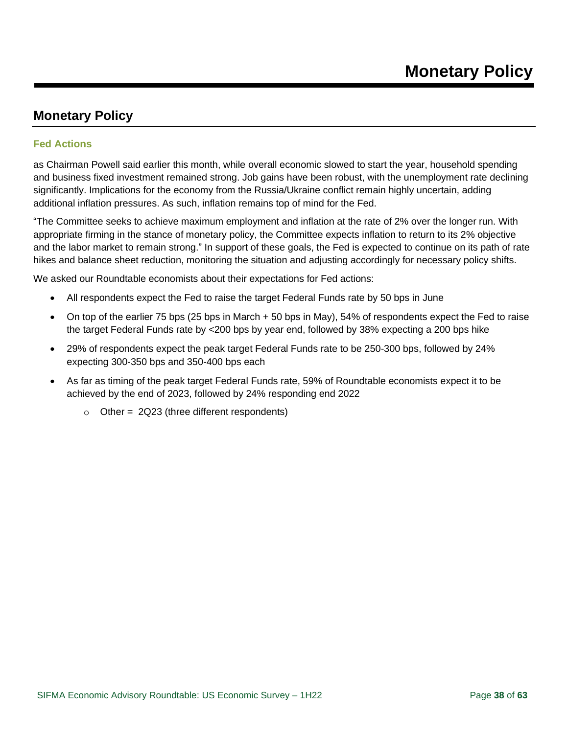#### <span id="page-37-1"></span><span id="page-37-0"></span>**Fed Actions**

as Chairman Powell said earlier this month, while overall economic slowed to start the year, household spending and business fixed investment remained strong. Job gains have been robust, with the unemployment rate declining significantly. Implications for the economy from the Russia/Ukraine conflict remain highly uncertain, adding additional inflation pressures. As such, inflation remains top of mind for the Fed.

"The Committee seeks to achieve maximum employment and inflation at the rate of 2% over the longer run. With appropriate firming in the stance of monetary policy, the Committee expects inflation to return to its 2% objective and the labor market to remain strong." In support of these goals, the Fed is expected to continue on its path of rate hikes and balance sheet reduction, monitoring the situation and adjusting accordingly for necessary policy shifts.

We asked our Roundtable economists about their expectations for Fed actions:

- All respondents expect the Fed to raise the target Federal Funds rate by 50 bps in June
- On top of the earlier 75 bps (25 bps in March + 50 bps in May), 54% of respondents expect the Fed to raise the target Federal Funds rate by <200 bps by year end, followed by 38% expecting a 200 bps hike
- 29% of respondents expect the peak target Federal Funds rate to be 250-300 bps, followed by 24% expecting 300-350 bps and 350-400 bps each
- As far as timing of the peak target Federal Funds rate, 59% of Roundtable economists expect it to be achieved by the end of 2023, followed by 24% responding end 2022
	- $\circ$  Other = 2Q23 (three different respondents)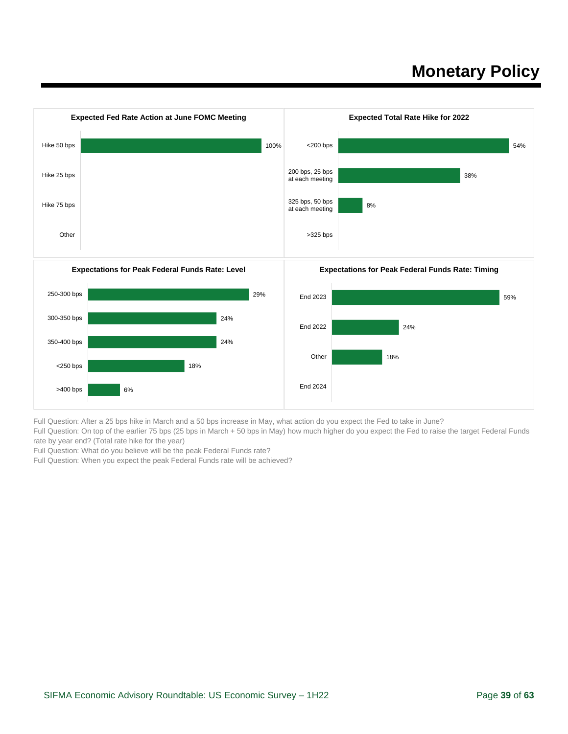

Full Question: After a 25 bps hike in March and a 50 bps increase in May, what action do you expect the Fed to take in June?

Full Question: On top of the earlier 75 bps (25 bps in March + 50 bps in May) how much higher do you expect the Fed to raise the target Federal Funds rate by year end? (Total rate hike for the year)

Full Question: What do you believe will be the peak Federal Funds rate?

Full Question: When you expect the peak Federal Funds rate will be achieved?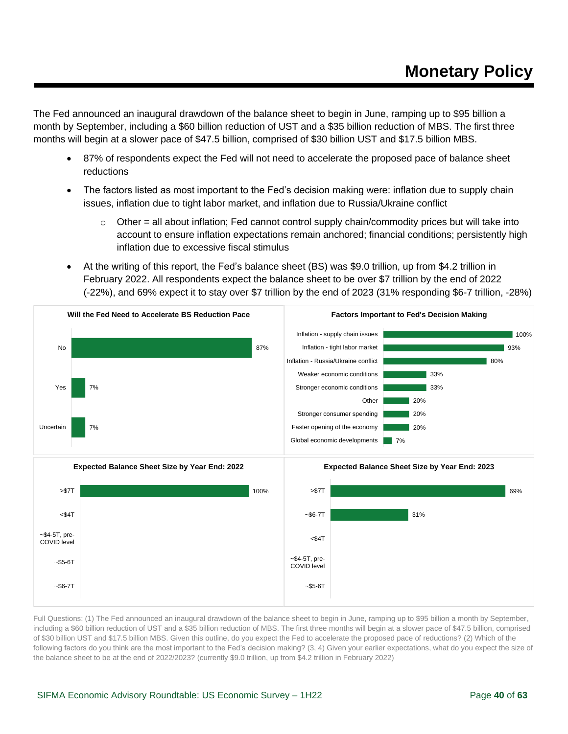The Fed announced an inaugural drawdown of the balance sheet to begin in June, ramping up to \$95 billion a month by September, including a \$60 billion reduction of UST and a \$35 billion reduction of MBS. The first three months will begin at a slower pace of \$47.5 billion, comprised of \$30 billion UST and \$17.5 billion MBS.

- 87% of respondents expect the Fed will not need to accelerate the proposed pace of balance sheet reductions
- The factors listed as most important to the Fed's decision making were: inflation due to supply chain issues, inflation due to tight labor market, and inflation due to Russia/Ukraine conflict
	- $\circ$  Other = all about inflation; Fed cannot control supply chain/commodity prices but will take into account to ensure inflation expectations remain anchored; financial conditions; persistently high inflation due to excessive fiscal stimulus
- At the writing of this report, the Fed's balance sheet (BS) was \$9.0 trillion, up from \$4.2 trillion in February 2022. All respondents expect the balance sheet to be over \$7 trillion by the end of 2022 (-22%), and 69% expect it to stay over \$7 trillion by the end of 2023 (31% responding \$6-7 trillion, -28%)



Full Questions: (1) The Fed announced an inaugural drawdown of the balance sheet to begin in June, ramping up to \$95 billion a month by September, including a \$60 billion reduction of UST and a \$35 billion reduction of MBS. The first three months will begin at a slower pace of \$47.5 billion, comprised of \$30 billion UST and \$17.5 billion MBS. Given this outline, do you expect the Fed to accelerate the proposed pace of reductions? (2) Which of the following factors do you think are the most important to the Fed's decision making? (3, 4) Given your earlier expectations, what do you expect the size of the balance sheet to be at the end of 2022/2023? (currently \$9.0 trillion, up from \$4.2 trillion in February 2022)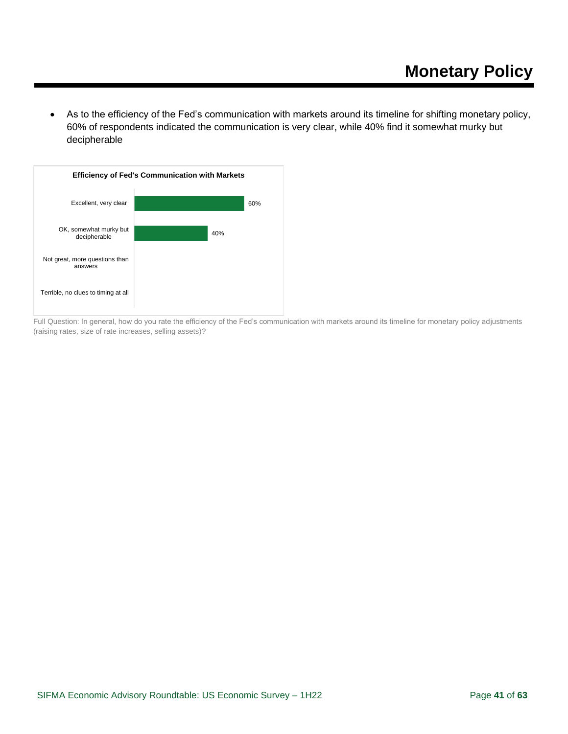• As to the efficiency of the Fed's communication with markets around its timeline for shifting monetary policy, 60% of respondents indicated the communication is very clear, while 40% find it somewhat murky but decipherable



Full Question: In general, how do you rate the efficiency of the Fed's communication with markets around its timeline for monetary policy adjustments (raising rates, size of rate increases, selling assets)?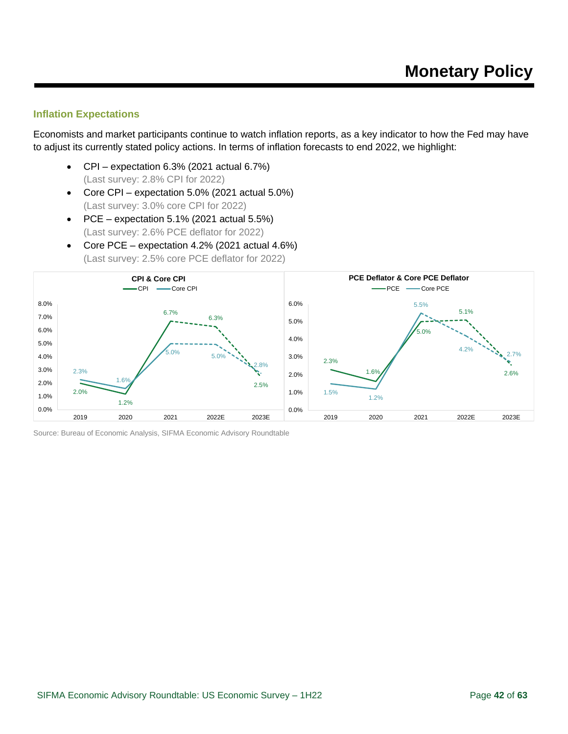#### <span id="page-41-0"></span>**Inflation Expectations**

Economists and market participants continue to watch inflation reports, as a key indicator to how the Fed may have to adjust its currently stated policy actions. In terms of inflation forecasts to end 2022, we highlight:

- CPI expectation 6.3% (2021 actual 6.7%) (Last survey: 2.8% CPI for 2022)
- Core CPI expectation 5.0% (2021 actual 5.0%) (Last survey: 3.0% core CPI for 2022)
- PCE expectation  $5.1\%$  (2021 actual  $5.5\%$ ) (Last survey: 2.6% PCE deflator for 2022)
- Core PCE expectation 4.2% (2021 actual 4.6%) (Last survey: 2.5% core PCE deflator for 2022)



Source: Bureau of Economic Analysis, SIFMA Economic Advisory Roundtable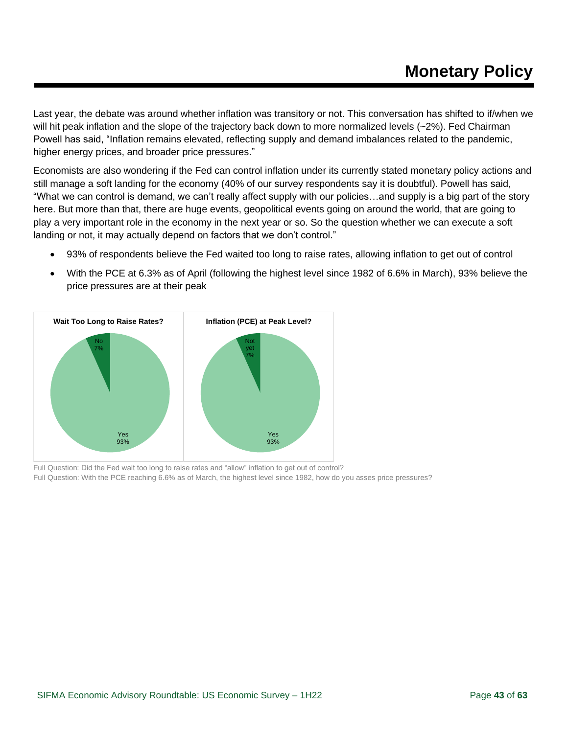Last year, the debate was around whether inflation was transitory or not. This conversation has shifted to if/when we will hit peak inflation and the slope of the trajectory back down to more normalized levels (~2%). Fed Chairman Powell has said, "Inflation remains elevated, reflecting supply and demand imbalances related to the pandemic, higher energy prices, and broader price pressures."

Economists are also wondering if the Fed can control inflation under its currently stated monetary policy actions and still manage a soft landing for the economy (40% of our survey respondents say it is doubtful). Powell has said, "What we can control is demand, we can't really affect supply with our policies…and supply is a big part of the story here. But more than that, there are huge events, geopolitical events going on around the world, that are going to play a very important role in the economy in the next year or so. So the question whether we can execute a soft landing or not, it may actually depend on factors that we don't control."

- 93% of respondents believe the Fed waited too long to raise rates, allowing inflation to get out of control
- With the PCE at 6.3% as of April (following the highest level since 1982 of 6.6% in March), 93% believe the price pressures are at their peak



Full Question: Did the Fed wait too long to raise rates and "allow" inflation to get out of control? Full Question: With the PCE reaching 6.6% as of March, the highest level since 1982, how do you asses price pressures?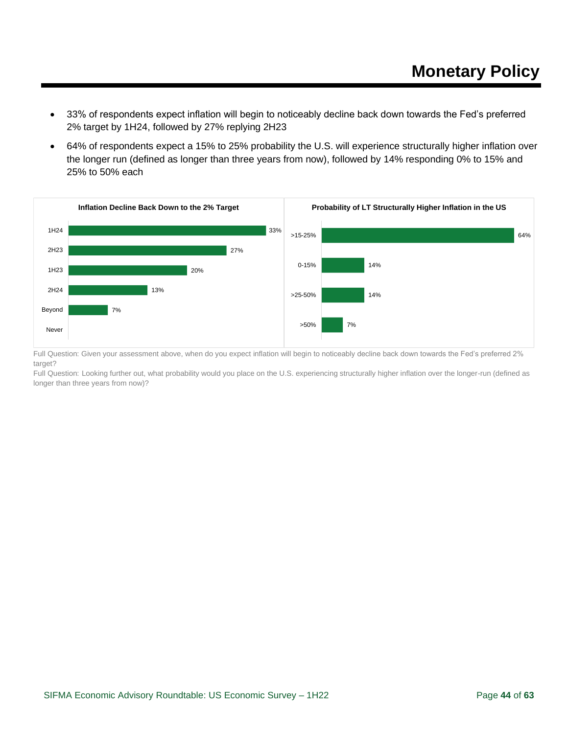- 33% of respondents expect inflation will begin to noticeably decline back down towards the Fed's preferred 2% target by 1H24, followed by 27% replying 2H23
- 64% of respondents expect a 15% to 25% probability the U.S. will experience structurally higher inflation over the longer run (defined as longer than three years from now), followed by 14% responding 0% to 15% and 25% to 50% each



Full Question: Given your assessment above, when do you expect inflation will begin to noticeably decline back down towards the Fed's preferred 2% target?

Full Question: Looking further out, what probability would you place on the U.S. experiencing structurally higher inflation over the longer-run (defined as longer than three years from now)?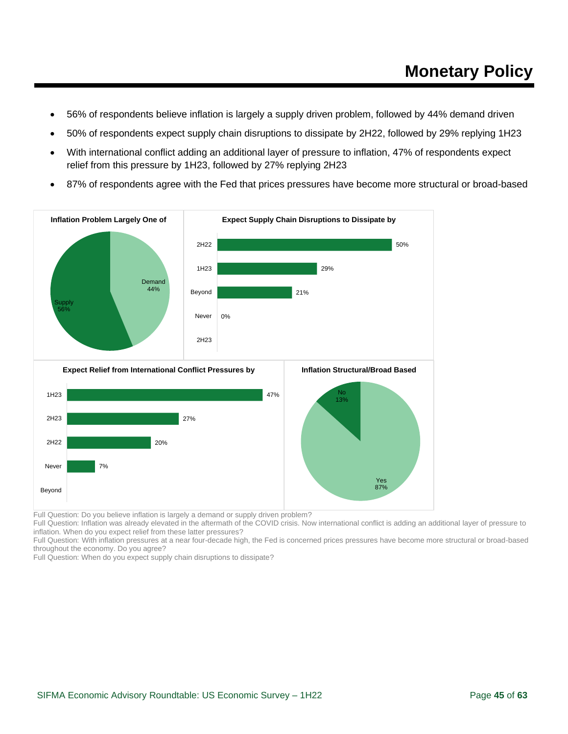- 56% of respondents believe inflation is largely a supply driven problem, followed by 44% demand driven
- 50% of respondents expect supply chain disruptions to dissipate by 2H22, followed by 29% replying 1H23
- With international conflict adding an additional layer of pressure to inflation, 47% of respondents expect relief from this pressure by 1H23, followed by 27% replying 2H23
- 87% of respondents agree with the Fed that prices pressures have become more structural or broad-based



Full Question: Do you believe inflation is largely a demand or supply driven problem?

Full Question: Inflation was already elevated in the aftermath of the COVID crisis. Now international conflict is adding an additional layer of pressure to inflation. When do you expect relief from these latter pressures?

Full Question: With inflation pressures at a near four-decade high, the Fed is concerned prices pressures have become more structural or broad-based throughout the economy. Do you agree?

Full Question: When do you expect supply chain disruptions to dissipate?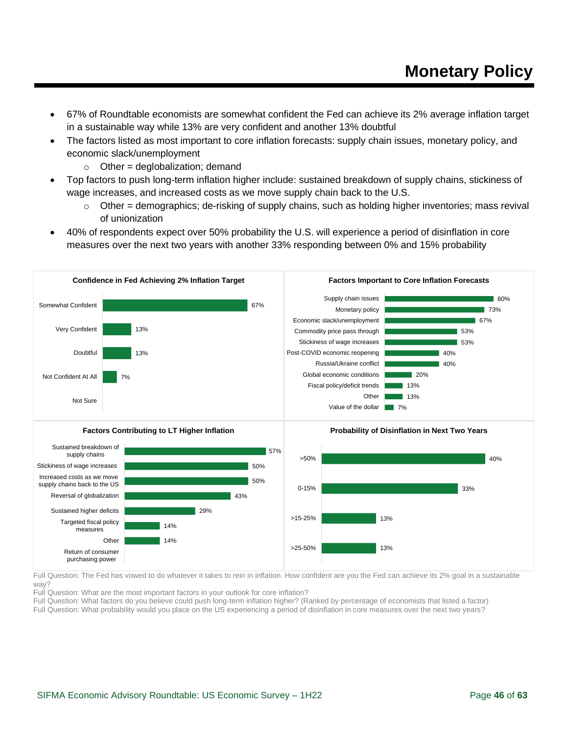- 67% of Roundtable economists are somewhat confident the Fed can achieve its 2% average inflation target in a sustainable way while 13% are very confident and another 13% doubtful
- The factors listed as most important to core inflation forecasts: supply chain issues, monetary policy, and economic slack/unemployment
	- $\circ$  Other = deglobalization; demand
- Top factors to push long-term inflation higher include: sustained breakdown of supply chains, stickiness of wage increases, and increased costs as we move supply chain back to the U.S.
	- $\circ$  Other = demographics; de-risking of supply chains, such as holding higher inventories; mass revival of unionization
- 40% of respondents expect over 50% probability the U.S. will experience a period of disinflation in core measures over the next two years with another 33% responding between 0% and 15% probability



Full Question: The Fed has vowed to do whatever it takes to rein in inflation. How confident are you the Fed can achieve its 2% goal in a sustainable way?

Full Question: What are the most important factors in your outlook for core inflation?

Full Question: What factors do you believe could push long-term inflation higher? (Ranked by percentage of economists that listed a factor) Full Question: What probability would you place on the US experiencing a period of disinflation in core measures over the next two years?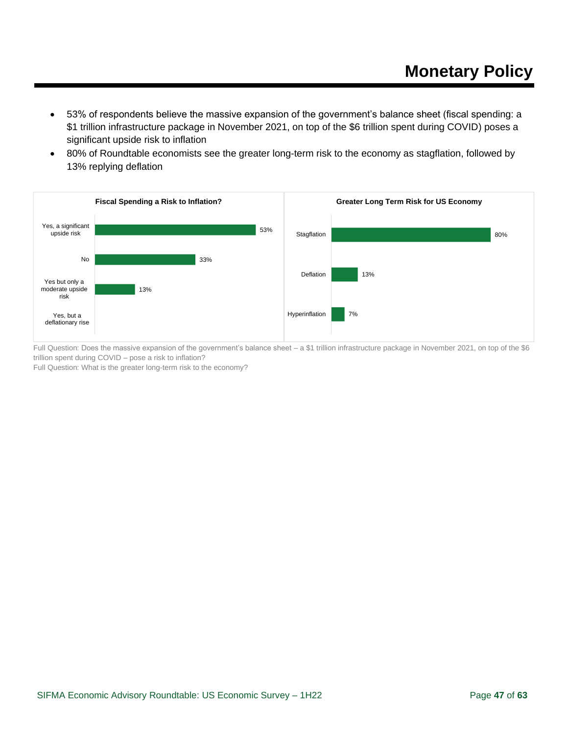- 53% of respondents believe the massive expansion of the government's balance sheet (fiscal spending: a \$1 trillion infrastructure package in November 2021, on top of the \$6 trillion spent during COVID) poses a significant upside risk to inflation
- 80% of Roundtable economists see the greater long-term risk to the economy as stagflation, followed by 13% replying deflation



Full Question: Does the massive expansion of the government's balance sheet – a \$1 trillion infrastructure package in November 2021, on top of the \$6 trillion spent during COVID – pose a risk to inflation?

Full Question: What is the greater long-term risk to the economy?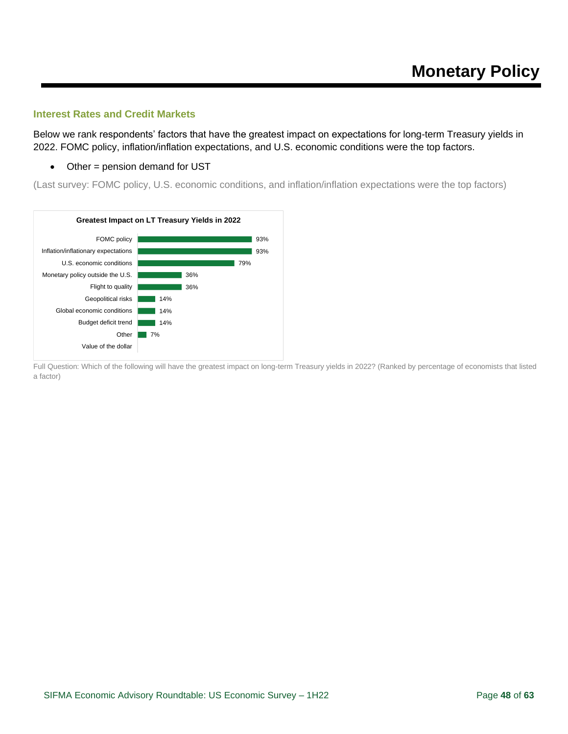#### <span id="page-47-0"></span>**Interest Rates and Credit Markets**

Below we rank respondents' factors that have the greatest impact on expectations for long-term Treasury yields in 2022. FOMC policy, inflation/inflation expectations, and U.S. economic conditions were the top factors.

• Other = pension demand for UST

(Last survey: FOMC policy, U.S. economic conditions, and inflation/inflation expectations were the top factors)



Full Question: Which of the following will have the greatest impact on long-term Treasury yields in 2022? (Ranked by percentage of economists that listed a factor)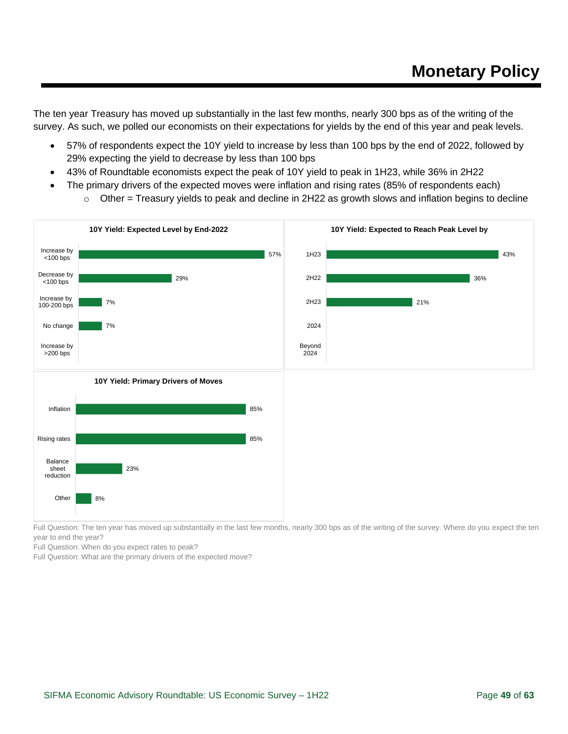The ten year Treasury has moved up substantially in the last few months, nearly 300 bps as of the writing of the survey. As such, we polled our economists on their expectations for yields by the end of this year and peak levels.

- 57% of respondents expect the 10Y yield to increase by less than 100 bps by the end of 2022, followed by 29% expecting the yield to decrease by less than 100 bps
- 43% of Roundtable economists expect the peak of 10Y yield to peak in 1H23, while 36% in 2H22
- The primary drivers of the expected moves were inflation and rising rates (85% of respondents each)
	- $\circ$  Other = Treasury yields to peak and decline in 2H22 as growth slows and inflation begins to decline



Full Question: The ten year has moved up substantially in the last few months, nearly 300 bps as of the writing of the survey. Where do you expect the ten year to end the year?

Full Question: When do you expect rates to peak?

Full Question: What are the primary drivers of the expected move?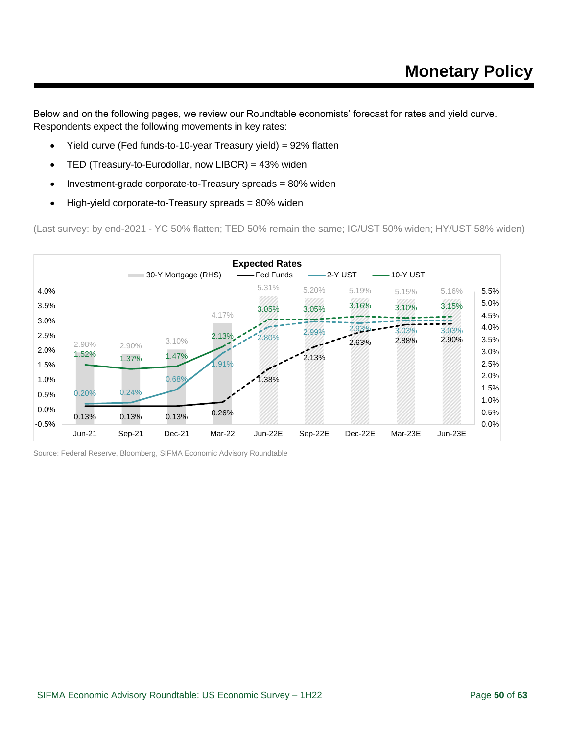Below and on the following pages, we review our Roundtable economists' forecast for rates and yield curve. Respondents expect the following movements in key rates:

- Yield curve (Fed funds-to-10-year Treasury yield) = 92% flatten
- TED (Treasury-to-Eurodollar, now LIBOR) = 43% widen
- Investment-grade corporate-to-Treasury spreads = 80% widen
- High-yield corporate-to-Treasury spreads = 80% widen

(Last survey: by end-2021 - YC 50% flatten; TED 50% remain the same; IG/UST 50% widen; HY/UST 58% widen)



Source: Federal Reserve, Bloomberg, SIFMA Economic Advisory Roundtable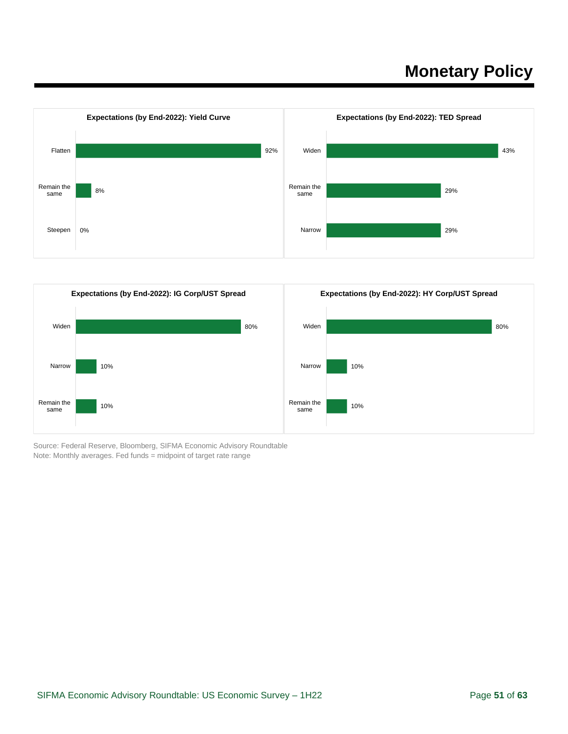



Source: Federal Reserve, Bloomberg, SIFMA Economic Advisory Roundtable Note: Monthly averages. Fed funds = midpoint of target rate range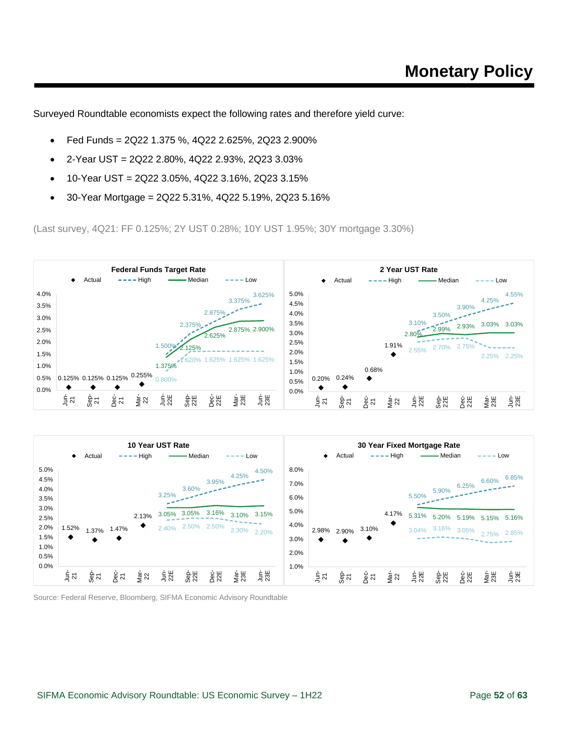Surveyed Roundtable economists expect the following rates and therefore yield curve:

- Fed Funds = 2Q22 1.375 %, 4Q22 2.625%, 2Q23 2.900%
- 2-Year UST =  $2Q22$  2.80%, 4Q22 2.93%, 2Q23 3.03%
- 10-Year UST = 2Q22 3.05%, 4Q22 3.16%, 2Q23 3.15%
- 30-Year Mortgage =  $2Q225.31\%$ , 4Q22 $5.19\%$ , 2Q23 $5.16\%$

(Last survey, 4Q21: FF 0.125%; 2Y UST 0.28%; 10Y UST 1.95%; 30Y mortgage 3.30%)





Source: Federal Reserve, Bloomberg, SIFMA Economic Advisory Roundtable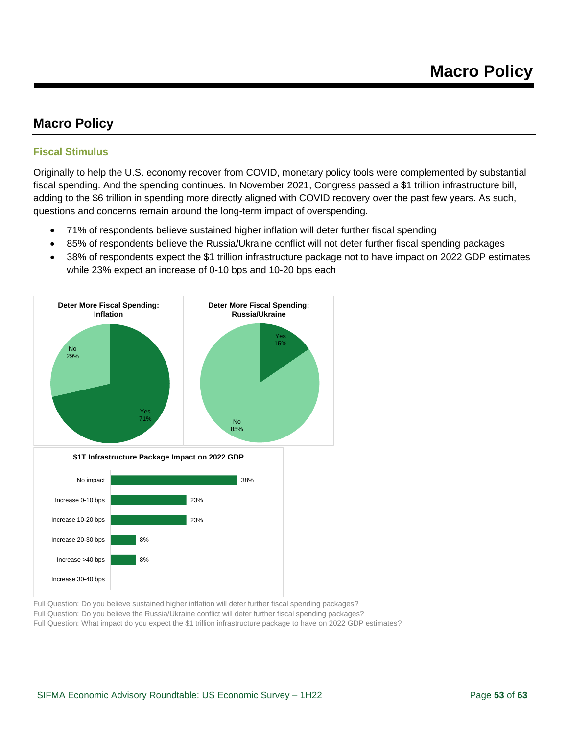### <span id="page-52-0"></span>**Macro Policy**

#### <span id="page-52-1"></span>**Fiscal Stimulus**

Originally to help the U.S. economy recover from COVID, monetary policy tools were complemented by substantial fiscal spending. And the spending continues. In November 2021, Congress passed a \$1 trillion infrastructure bill, adding to the \$6 trillion in spending more directly aligned with COVID recovery over the past few years. As such, questions and concerns remain around the long-term impact of overspending.

- 71% of respondents believe sustained higher inflation will deter further fiscal spending
- 85% of respondents believe the Russia/Ukraine conflict will not deter further fiscal spending packages
- 38% of respondents expect the \$1 trillion infrastructure package not to have impact on 2022 GDP estimates while 23% expect an increase of 0-10 bps and 10-20 bps each



**\$1T Infrastructure Package Impact on 2022 GDP**



Full Question: Do you believe sustained higher inflation will deter further fiscal spending packages?

Full Question: Do you believe the Russia/Ukraine conflict will deter further fiscal spending packages?

Full Question: What impact do you expect the \$1 trillion infrastructure package to have on 2022 GDP estimates?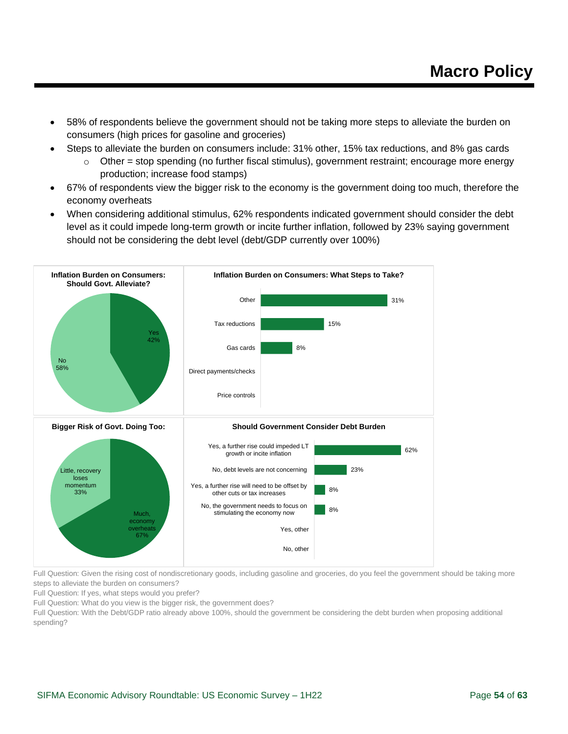- 58% of respondents believe the government should not be taking more steps to alleviate the burden on consumers (high prices for gasoline and groceries)
	- Steps to alleviate the burden on consumers include: 31% other, 15% tax reductions, and 8% gas cards
		- $\circ$  Other = stop spending (no further fiscal stimulus), government restraint; encourage more energy production; increase food stamps)
- 67% of respondents view the bigger risk to the economy is the government doing too much, therefore the economy overheats
- When considering additional stimulus, 62% respondents indicated government should consider the debt level as it could impede long-term growth or incite further inflation, followed by 23% saying government should not be considering the debt level (debt/GDP currently over 100%)



Full Question: Given the rising cost of nondiscretionary goods, including gasoline and groceries, do you feel the government should be taking more steps to alleviate the burden on consumers?

Full Question: If yes, what steps would you prefer?

Full Question: What do you view is the bigger risk, the government does?

Full Question: With the Debt/GDP ratio already above 100%, should the government be considering the debt burden when proposing additional spending?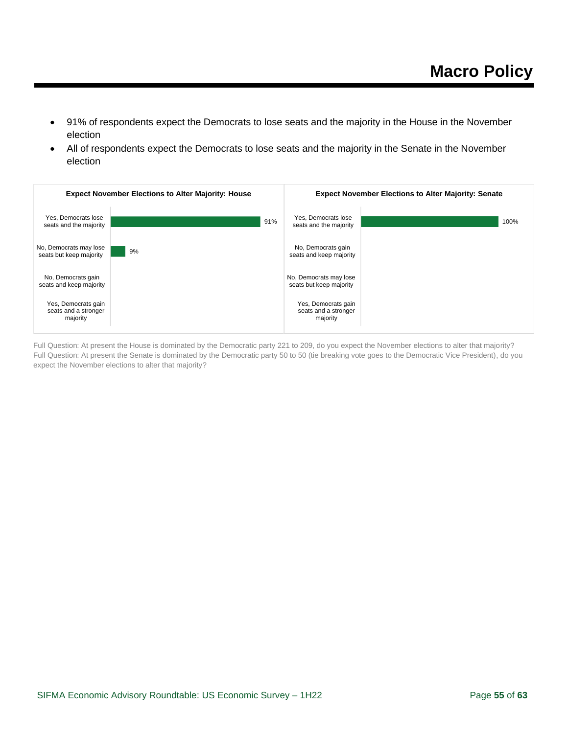- 91% of respondents expect the Democrats to lose seats and the majority in the House in the November election
- All of respondents expect the Democrats to lose seats and the majority in the Senate in the November election



Full Question: At present the House is dominated by the Democratic party 221 to 209, do you expect the November elections to alter that majority? Full Question: At present the Senate is dominated by the Democratic party 50 to 50 (tie breaking vote goes to the Democratic Vice President), do you expect the November elections to alter that majority?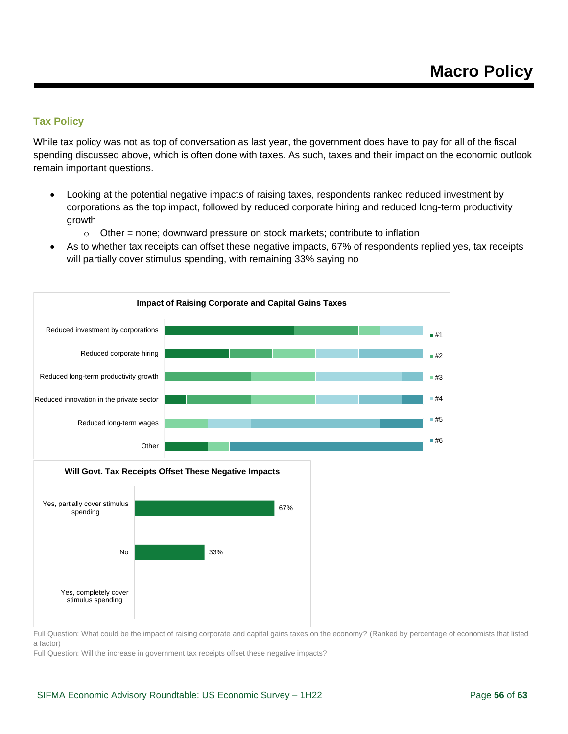#### <span id="page-55-0"></span>**Tax Policy**

While tax policy was not as top of conversation as last year, the government does have to pay for all of the fiscal spending discussed above, which is often done with taxes. As such, taxes and their impact on the economic outlook remain important questions.

- Looking at the potential negative impacts of raising taxes, respondents ranked reduced investment by corporations as the top impact, followed by reduced corporate hiring and reduced long-term productivity growth
	- $\circ$  Other = none; downward pressure on stock markets; contribute to inflation
- As to whether tax receipts can offset these negative impacts, 67% of respondents replied yes, tax receipts will partially cover stimulus spending, with remaining 33% saying no





Full Question: What could be the impact of raising corporate and capital gains taxes on the economy? (Ranked by percentage of economists that listed a factor)

Full Question: Will the increase in government tax receipts offset these negative impacts?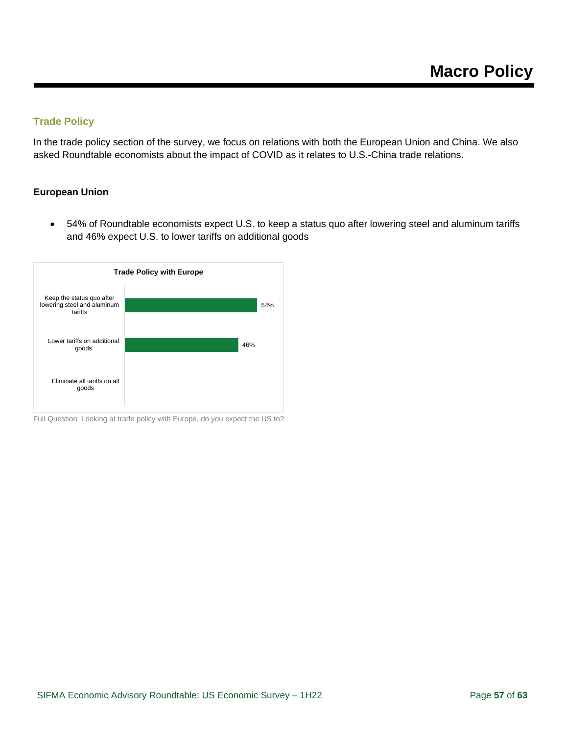### <span id="page-56-0"></span>**Trade Policy**

In the trade policy section of the survey, we focus on relations with both the European Union and China. We also asked Roundtable economists about the impact of COVID as it relates to U.S.-China trade relations.

#### **European Union**

• 54% of Roundtable economists expect U.S. to keep a status quo after lowering steel and aluminum tariffs and 46% expect U.S. to lower tariffs on additional goods



Full Question: Looking at trade policy with Europe, do you expect the US to?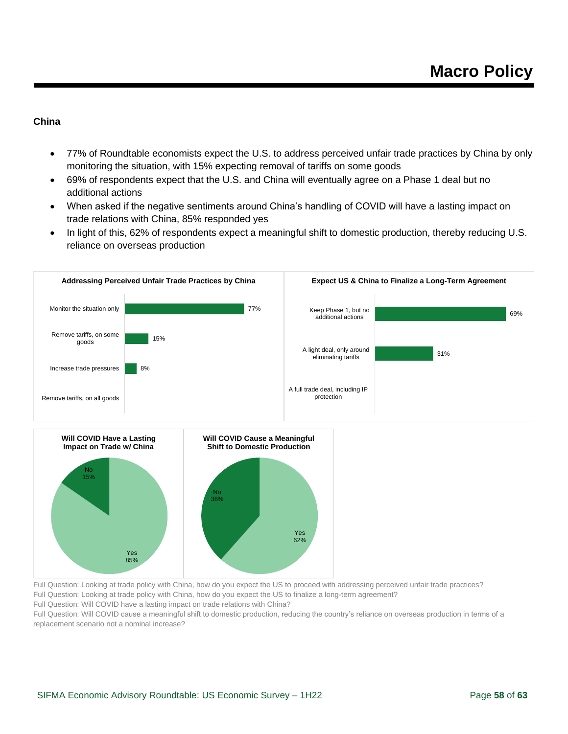#### **China**

- 77% of Roundtable economists expect the U.S. to address perceived unfair trade practices by China by only monitoring the situation, with 15% expecting removal of tariffs on some goods
- 69% of respondents expect that the U.S. and China will eventually agree on a Phase 1 deal but no additional actions
- When asked if the negative sentiments around China's handling of COVID will have a lasting impact on trade relations with China, 85% responded yes
- In light of this, 62% of respondents expect a meaningful shift to domestic production, thereby reducing U.S. reliance on overseas production





Full Question: Looking at trade policy with China, how do you expect the US to proceed with addressing perceived unfair trade practices? Full Question: Looking at trade policy with China, how do you expect the US to finalize a long-term agreement?

Full Question: Will COVID have a lasting impact on trade relations with China?

Full Question: Will COVID cause a meaningful shift to domestic production, reducing the country's reliance on overseas production in terms of a replacement scenario not a nominal increase?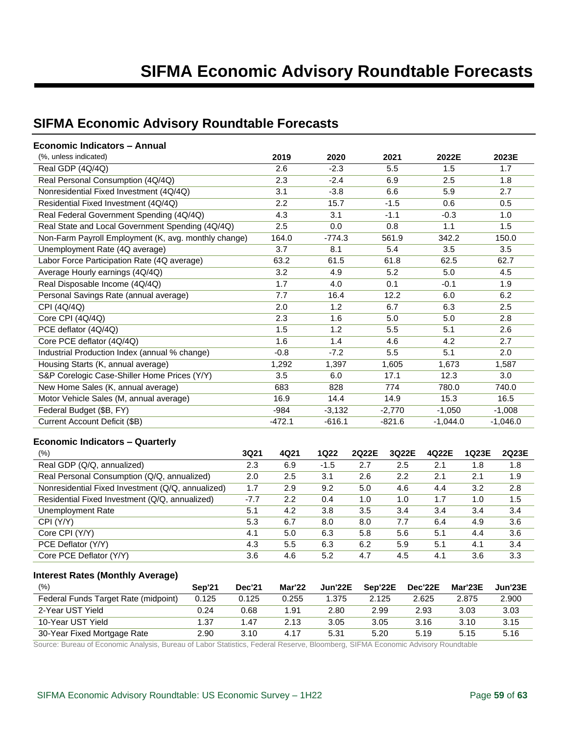### <span id="page-58-0"></span>**SIFMA Economic Advisory Roundtable Forecasts**

| Economic Indicators - Annual                         |      |          |             |       |          |            |       |            |
|------------------------------------------------------|------|----------|-------------|-------|----------|------------|-------|------------|
| (%, unless indicated)                                |      | 2019     | 2020        |       | 2021     | 2022E      |       | 2023E      |
| Real GDP (4Q/4Q)                                     |      | 2.6      | $-2.3$      |       | 5.5      | 1.5        |       | 1.7        |
| Real Personal Consumption (4Q/4Q)                    |      | 2.3      | $-2.4$      |       | 6.9      | 2.5        |       | 1.8        |
| Nonresidential Fixed Investment (4Q/4Q)              |      | 3.1      | $-3.8$      |       | 6.6      | 5.9        |       | 2.7        |
| Residential Fixed Investment (4Q/4Q)                 |      | 2.2      | 15.7        |       | $-1.5$   | 0.6        |       | 0.5        |
| Real Federal Government Spending (4Q/4Q)             |      | 4.3      | 3.1         |       | $-1.1$   | $-0.3$     |       | 1.0        |
| Real State and Local Government Spending (4Q/4Q)     |      | 2.5      | 0.0         |       | 0.8      | 1.1        |       | 1.5        |
| Non-Farm Payroll Employment (K, avg. monthly change) |      | 164.0    | $-774.3$    |       | 561.9    | 342.2      |       | 150.0      |
| Unemployment Rate (4Q average)                       |      | 3.7      | 8.1         |       | 5.4      | 3.5        |       | 3.5        |
| Labor Force Participation Rate (4Q average)          |      | 63.2     | 61.5        |       | 61.8     | 62.5       |       | 62.7       |
| Average Hourly earnings (4Q/4Q)                      |      | 3.2      | 4.9         |       | 5.2      | 5.0        |       | 4.5        |
| Real Disposable Income (4Q/4Q)                       |      | 1.7      | 4.0         |       | 0.1      | $-0.1$     |       | 1.9        |
| Personal Savings Rate (annual average)               |      | 7.7      | 16.4        |       | 12.2     | 6.0        |       | 6.2        |
| CPI (4Q/4Q)                                          |      | 2.0      | 1.2         |       | 6.7      | 6.3        |       | 2.5        |
| Core CPI (4Q/4Q)                                     |      | 2.3      | 1.6         |       | 5.0      | 5.0        |       | 2.8        |
| PCE deflator (4Q/4Q)                                 |      | 1.5      | 1.2         |       | 5.5      | 5.1        |       | 2.6        |
| Core PCE deflator (4Q/4Q)                            |      | 1.6      | 1.4         |       | 4.6      | 4.2        |       | 2.7        |
| Industrial Production Index (annual % change)        |      | $-0.8$   | $-7.2$      |       | 5.5      | 5.1        |       | 2.0        |
| Housing Starts (K, annual average)                   |      | 1,292    | 1,397       |       | 1,605    | 1,673      |       | 1,587      |
| S&P Corelogic Case-Shiller Home Prices (Y/Y)         |      | 3.5      | 6.0         |       | 17.1     | 12.3       |       | 3.0        |
| New Home Sales (K, annual average)                   |      | 683      | 828         |       | 774      | 780.0      |       | 740.0      |
| Motor Vehicle Sales (M, annual average)              |      | 16.9     | 14.4        |       | 14.9     | 15.3       |       | 16.5       |
| Federal Budget (\$B, FY)                             |      | $-984$   | $-3,132$    |       | $-2,770$ | $-1,050$   |       | $-1,008$   |
| Current Account Deficit (\$B)                        |      | $-472.1$ | $-616.1$    |       | $-821.6$ | $-1,044.0$ |       | $-1,046.0$ |
| <b>Economic Indicators - Quarterly</b>               |      |          |             |       |          |            |       |            |
| (% )                                                 | 3Q21 | 4Q21     | <b>1Q22</b> | 2Q22E | 3Q22E    | 4Q22E      | 1Q23E | 2Q23E      |
| Real GDP (Q/Q annualized)                            | 2.3  | 69       | $-1.5$      | 27    | 2.5      | 21         | 1 R   | 1 R        |

| $\sqrt{2}$                                        | JWLI   | 746 I | IWZZ   | ZWZZL | JUZZL | 492 L | 1 YZJL | ZWZJL |
|---------------------------------------------------|--------|-------|--------|-------|-------|-------|--------|-------|
| Real GDP (Q/Q, annualized)                        | 2.3    | 6.9   | $-1.5$ | 2.7   | 2.5   | 2.1   | 1.8    | 1.8   |
| Real Personal Consumption (Q/Q, annualized)       | 2.0    | 2.5   | 3.1    | 2.6   | 2.2   | 2.1   | 2.1    | 1.9   |
| Nonresidential Fixed Investment (Q/Q, annualized) | 1.7    | 2.9   | 9.2    | 5.0   | 4.6   | 4.4   | 3.2    | 2.8   |
| Residential Fixed Investment (Q/Q, annualized)    | $-7.7$ | 2.2   | 0.4    | 1.0   | 1.0   | 1.7   | 1.0    | 1.5   |
| Unemployment Rate                                 | 5.1    | 4.2   | 3.8    | 3.5   | 3.4   | 3.4   | 3.4    | 3.4   |
| CPI (Y/Y)                                         | 5.3    | 6.7   | 8.0    | 8.0   | 7.7   | 6.4   | 4.9    | 3.6   |
| Core CPI (Y/Y)                                    | 4.1    | 5.0   | 6.3    | 5.8   | 5.6   | 5.1   | 4.4    | 3.6   |
| PCE Deflator (Y/Y)                                | 4.3    | 5.5   | 6.3    | 6.2   | 5.9   | 5.1   | 4.1    | 3.4   |
| Core PCE Deflator (Y/Y)                           | 3.6    | 4.6   | 5.2    | 4.7   | 4.5   | 4.1   | 3.6    | 3.3   |

#### **Interest Rates (Monthly Average)**

| (% )                                 | <b>Sep'21</b> | <b>Dec'21</b> | Mar'22 | Jun'22E | Sep'22E | Dec'22E | Mar'23E | Jun'23E |
|--------------------------------------|---------------|---------------|--------|---------|---------|---------|---------|---------|
| Federal Funds Target Rate (midpoint) | 0.125         | 0.125         | 0.255  | 1.375   | 2.125   | 2.625   | 2.875   | 2.900   |
| 2-Year UST Yield                     | 0.24          | 0.68          | 1.91   | 2.80    | 2.99    | 2.93    | 3.03    | 3.03    |
| 10-Year UST Yield                    | 1.37          | 1.47          | 2.13   | 3.05    | 3.05    | 3.16    | 3.10    | 3.15    |
| 30-Year Fixed Mortgage Rate          | 2.90          | 3.10          | 4.17   | 5.31    | 5.20    | 5.19    | 5.15    | 5.16    |

Source: Bureau of Economic Analysis, Bureau of Labor Statistics, Federal Reserve, Bloomberg, SIFMA Economic Advisory Roundtable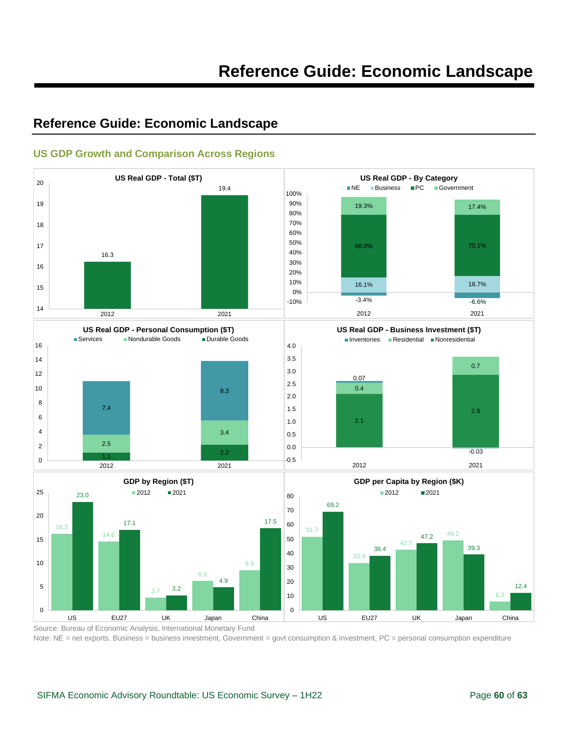### <span id="page-59-0"></span>**Reference Guide: Economic Landscape**



#### <span id="page-59-1"></span>**US GDP Growth and Comparison Across Regions**

Source: Bureau of Economic Analysis, International Monetary Fund Note: NE = net exports, Business = business investment, Government = govt consumption & investment, PC = personal consumption expenditure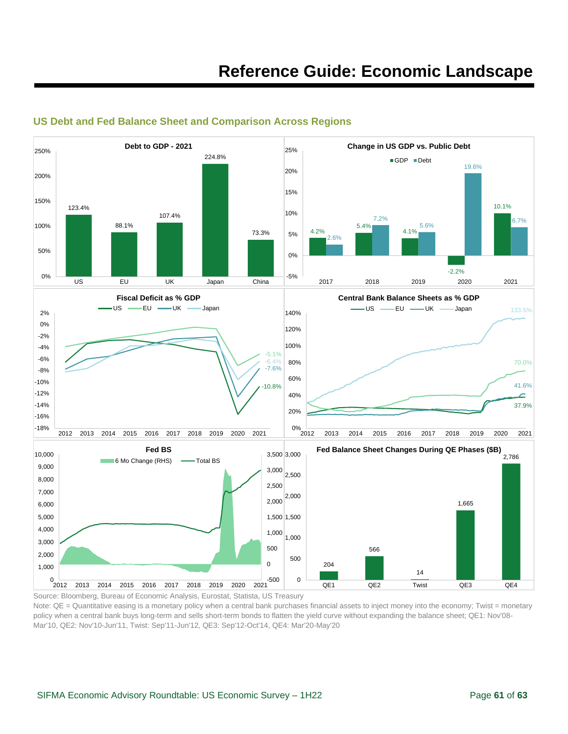

#### <span id="page-60-0"></span>**US Debt and Fed Balance Sheet and Comparison Across Regions**

Source: Bloomberg, Bureau of Economic Analysis, Eurostat, Statista, US Treasury

Note: QE = Quantitative easing is a monetary policy when a central bank purchases financial assets to inject money into the economy; Twist = monetary policy when a central bank buys long-term and sells short-term bonds to flatten the yield curve without expanding the balance sheet; QE1: Nov'08- Mar'10, QE2: Nov'10-Jun'11, Twist: Sep'11-Jun'12, QE3: Sep'12-Oct'14, QE4: Mar'20-May'20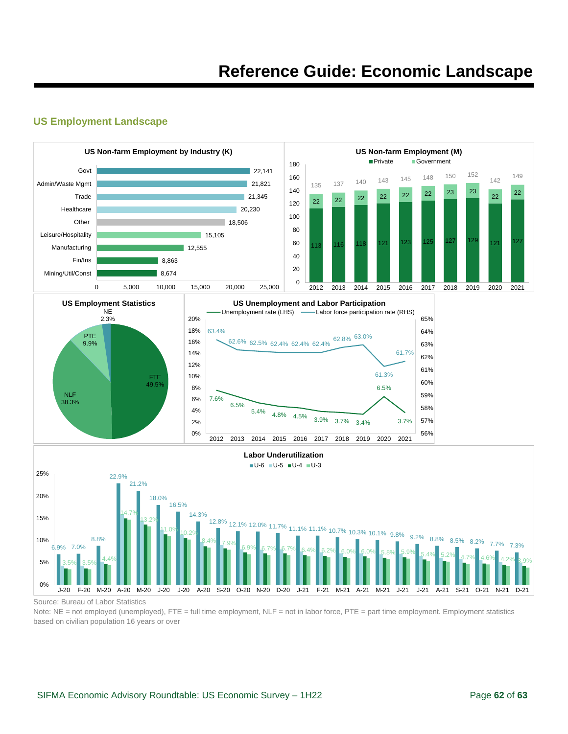#### <span id="page-61-0"></span>**US Employment Landscape**



Source: Bureau of Labor Statistics

Note: NE = not employed (unemployed), FTE = full time employment, NLF = not in labor force, PTE = part time employment. Employment statistics based on civilian population 16 years or over